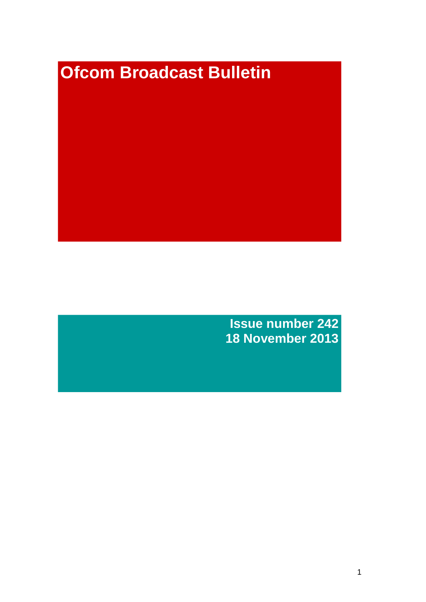# **Ofcom Broadcast Bulletin**

**Issue number 242 18 November 2013**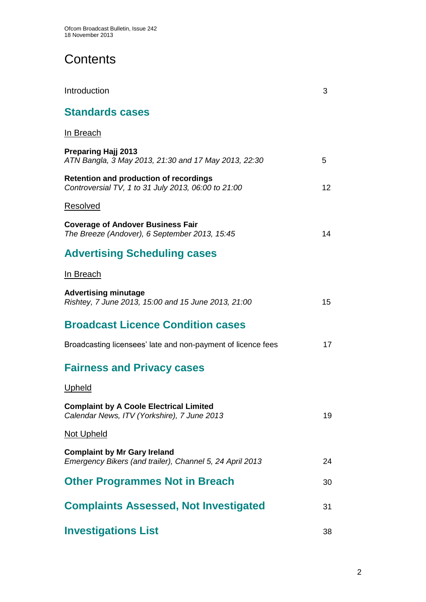# **Contents**

| Introduction                                                                                         | 3  |
|------------------------------------------------------------------------------------------------------|----|
| <b>Standards cases</b>                                                                               |    |
| In Breach                                                                                            |    |
| <b>Preparing Hajj 2013</b><br>ATN Bangla, 3 May 2013, 21:30 and 17 May 2013, 22:30                   | 5  |
| <b>Retention and production of recordings</b><br>Controversial TV, 1 to 31 July 2013, 06:00 to 21:00 | 12 |
| Resolved                                                                                             |    |
| <b>Coverage of Andover Business Fair</b><br>The Breeze (Andover), 6 September 2013, 15:45            | 14 |
| <b>Advertising Scheduling cases</b>                                                                  |    |
| In Breach                                                                                            |    |
| <b>Advertising minutage</b><br>Rishtey, 7 June 2013, 15:00 and 15 June 2013, 21:00                   | 15 |
| <b>Broadcast Licence Condition cases</b>                                                             |    |
| Broadcasting licensees' late and non-payment of licence fees                                         | 17 |
| <b>Fairness and Privacy cases</b>                                                                    |    |
| <u>Upheld</u>                                                                                        |    |
| <b>Complaint by A Coole Electrical Limited</b><br>Calendar News, ITV (Yorkshire), 7 June 2013        | 19 |
| <b>Not Upheld</b>                                                                                    |    |
| <b>Complaint by Mr Gary Ireland</b><br>Emergency Bikers (and trailer), Channel 5, 24 April 2013      | 24 |
| <b>Other Programmes Not in Breach</b>                                                                | 30 |
| <b>Complaints Assessed, Not Investigated</b>                                                         | 31 |
| <b>Investigations List</b>                                                                           | 38 |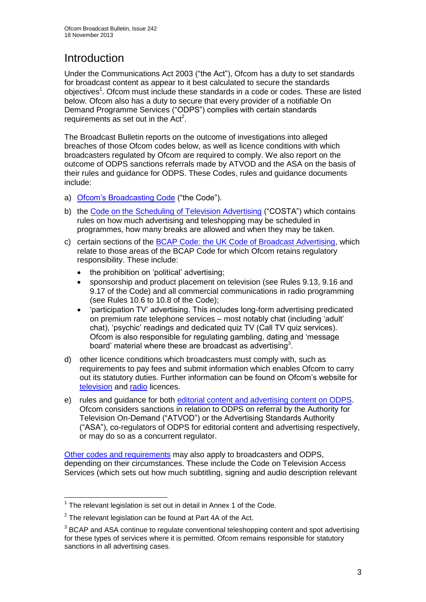# Introduction

Under the Communications Act 2003 ("the Act"), Ofcom has a duty to set standards for broadcast content as appear to it best calculated to secure the standards objectives<sup>1</sup>. Ofcom must include these standards in a code or codes. These are listed below. Ofcom also has a duty to secure that every provider of a notifiable On Demand Programme Services ("ODPS") complies with certain standards requirements as set out in the  $Act<sup>2</sup>$ .

The Broadcast Bulletin reports on the outcome of investigations into alleged breaches of those Ofcom codes below, as well as licence conditions with which broadcasters regulated by Ofcom are required to comply. We also report on the outcome of ODPS sanctions referrals made by ATVOD and the ASA on the basis of their rules and guidance for ODPS. These Codes, rules and guidance documents include:

- a) [Ofcom's Broadcasting Code](http://stakeholders.ofcom.org.uk/broadcasting/broadcast-codes/broadcast-code/) ("the Code").
- b) the [Code on the Scheduling of Television Advertising](http://stakeholders.ofcom.org.uk/broadcasting/broadcast-codes/advert-code/) ("COSTA") which contains rules on how much advertising and teleshopping may be scheduled in programmes, how many breaks are allowed and when they may be taken.
- c) certain sections of the [BCAP Code: the UK Code of Broadcast Advertising,](http://www.bcap.org.uk/Advertising-Codes/Broadcast-HTML.aspx) which relate to those areas of the BCAP Code for which Ofcom retains regulatory responsibility. These include:
	- the prohibition on 'political' advertising:
	- sponsorship and product placement on television (see Rules 9.13, 9.16 and 9.17 of the Code) and all commercial communications in radio programming (see Rules 10.6 to 10.8 of the Code);
	- 'participation TV' advertising. This includes long-form advertising predicated on premium rate telephone services – most notably chat (including 'adult' chat), 'psychic' readings and dedicated quiz TV (Call TV quiz services). Ofcom is also responsible for regulating gambling, dating and 'message board' material where these are broadcast as advertising<sup>3</sup>.
- d) other licence conditions which broadcasters must comply with, such as requirements to pay fees and submit information which enables Ofcom to carry out its statutory duties. Further information can be found on Ofcom's website for [television](http://licensing.ofcom.org.uk/tv-broadcast-licences/) and [radio](http://licensing.ofcom.org.uk/radio-broadcast-licensing/) licences.
- e) rules and guidance for both [editorial content and advertising content on ODPS.](http://www.atvod.co.uk/uploads/files/ATVOD_Rules_and_Guidance_Ed_2.0_May_2012.pdf) Ofcom considers sanctions in relation to ODPS on referral by the Authority for Television On-Demand ("ATVOD") or the Advertising Standards Authority ("ASA"), co-regulators of ODPS for editorial content and advertising respectively, or may do so as a concurrent regulator.

[Other codes and requirements](http://stakeholders.ofcom.org.uk/broadcasting/broadcast-codes/) may also apply to broadcasters and ODPS, depending on their circumstances. These include the Code on Television Access Services (which sets out how much subtitling, signing and audio description relevant

<sup>1</sup>  $1$  The relevant legislation is set out in detail in Annex 1 of the Code.

 $2$  The relevant legislation can be found at Part 4A of the Act.

 $3$  BCAP and ASA continue to regulate conventional teleshopping content and spot advertising for these types of services where it is permitted. Ofcom remains responsible for statutory sanctions in all advertising cases.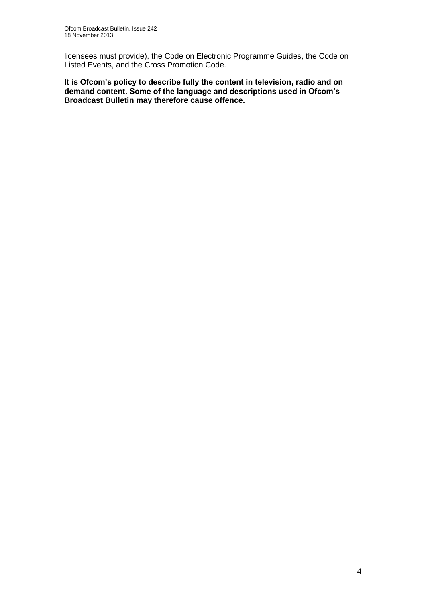licensees must provide), the Code on Electronic Programme Guides, the Code on Listed Events, and the Cross Promotion Code.

**It is Ofcom's policy to describe fully the content in television, radio and on demand content. Some of the language and descriptions used in Ofcom's Broadcast Bulletin may therefore cause offence.**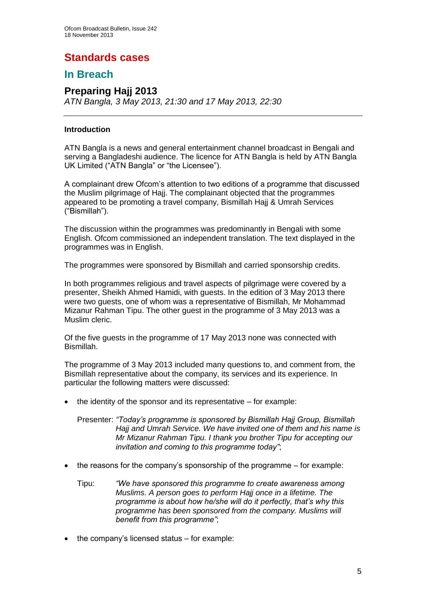# **Standards cases**

## **In Breach**

## **Preparing Hajj 2013**

*ATN Bangla, 3 May 2013, 21:30 and 17 May 2013, 22:30*

## **Introduction**

ATN Bangla is a news and general entertainment channel broadcast in Bengali and serving a Bangladeshi audience. The licence for ATN Bangla is held by ATN Bangla UK Limited ("ATN Bangla" or "the Licensee").

A complainant drew Ofcom's attention to two editions of a programme that discussed the Muslim pilgrimage of Hajj. The complainant objected that the programmes appeared to be promoting a travel company, Bismillah Hajj & Umrah Services ("Bismillah").

The discussion within the programmes was predominantly in Bengali with some English. Ofcom commissioned an independent translation. The text displayed in the programmes was in English.

The programmes were sponsored by Bismillah and carried sponsorship credits.

In both programmes religious and travel aspects of pilgrimage were covered by a presenter, Sheikh Ahmed Hamidi, with guests. In the edition of 3 May 2013 there were two guests, one of whom was a representative of Bismillah, Mr Mohammad Mizanur Rahman Tipu. The other guest in the programme of 3 May 2013 was a Muslim cleric.

Of the five guests in the programme of 17 May 2013 none was connected with Bismillah.

The programme of 3 May 2013 included many questions to, and comment from, the Bismillah representative about the company, its services and its experience. In particular the following matters were discussed:

 $\bullet$  the identity of the sponsor and its representative – for example:

Presenter: *"Today's programme is sponsored by Bismillah Hajj Group, Bismillah Hajj and Umrah Service. We have invited one of them and his name is Mr Mizanur Rahman Tipu. I thank you brother Tipu for accepting our invitation and coming to this programme today"*;

- $\bullet$  the reasons for the company's sponsorship of the programme for example:
	- Tipu: *"We have sponsored this programme to create awareness among Muslims. A person goes to perform Hajj once in a lifetime. The programme is about how he/she will do it perfectly, that's why this programme has been sponsored from the company. Muslims will benefit from this programme"*;
- $\bullet$  the company's licensed status for example: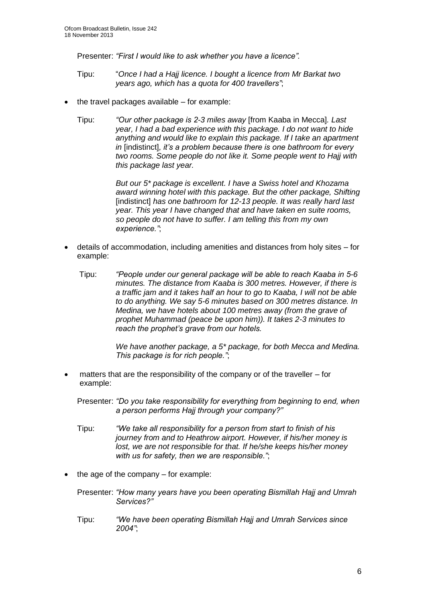Presenter: *"First I would like to ask whether you have a licence".*

- Tipu: "*Once I had a Hajj licence. I bought a licence from Mr Barkat two years ago, which has a quota for 400 travellers"*;
- the travel packages available for example:
	- Tipu: *"Our other package is 2-3 miles away* [from Kaaba in Mecca]*. Last year, I had a bad experience with this package. I do not want to hide anything and would like to explain this package. If I take an apartment in* [indistinct]*, it's a problem because there is one bathroom for every two rooms. Some people do not like it. Some people went to Hajj with this package last year.*

*But our 5\* package is excellent. I have a Swiss hotel and Khozama award winning hotel with this package. But the other package, Shifting*  [indistinct] has one bathroom for 12-13 people. It was really hard last *year. This year I have changed that and have taken en suite rooms, so people do not have to suffer. I am telling this from my own experience."*;

- details of accommodation, including amenities and distances from holy sites for example:
	- Tipu: *"People under our general package will be able to reach Kaaba in 5-6 minutes. The distance from Kaaba is 300 metres. However, if there is a traffic jam and it takes half an hour to go to Kaaba, I will not be able to do anything. We say 5-6 minutes based on 300 metres distance. In Medina, we have hotels about 100 metres away (from the grave of prophet Muhammad (peace be upon him)). It takes 2-3 minutes to reach the prophet's grave from our hotels.*

*We have another package, a 5\* package, for both Mecca and Medina. This package is for rich people."*;

- matters that are the responsibility of the company or of the traveller for example:
	- Presenter: *"Do you take responsibility for everything from beginning to end, when a person performs Hajj through your company?"*
	- Tipu: *"We take all responsibility for a person from start to finish of his journey from and to Heathrow airport. However, if his/her money is lost, we are not responsible for that. If he/she keeps his/her money with us for safety, then we are responsible."*;
- $\bullet$  the age of the company for example:
	- Presenter: *"How many years have you been operating Bismillah Hajj and Umrah Services?"*
	- Tipu: *"We have been operating Bismillah Hajj and Umrah Services since 2004"*;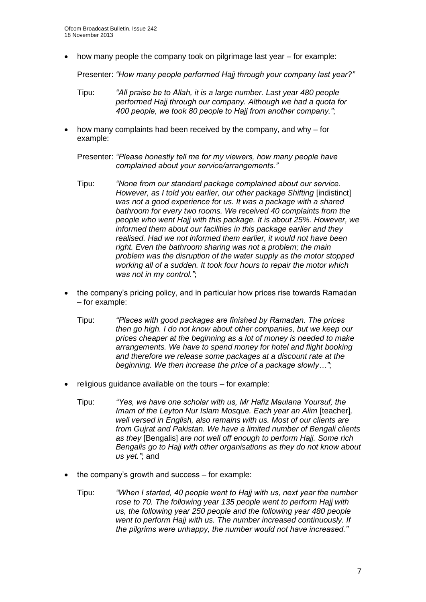how many people the company took on pilgrimage last year – for example:

Presenter: *"How many people performed Hajj through your company last year?"*

- Tipu: *"All praise be to Allah, it is a large number. Last year 480 people performed Hajj through our company. Although we had a quota for 400 people, we took 80 people to Hajj from another company."*;
- how many complaints had been received by the company, and why for example:

Presenter: *"Please honestly tell me for my viewers, how many people have complained about your service/arrangements."*

- Tipu: *"None from our standard package complained about our service. However, as I told you earlier, our other package Shifting [indistinct] was not a good experience for us. It was a package with a shared bathroom for every two rooms. We received 40 complaints from the people who went Hajj with this package. It is about 25%. However, we informed them about our facilities in this package earlier and they realised. Had we not informed them earlier, it would not have been right. Even the bathroom sharing was not a problem; the main problem was the disruption of the water supply as the motor stopped working all of a sudden. It took four hours to repair the motor which was not in my control."*;
- the company's pricing policy, and in particular how prices rise towards Ramadan – for example:
	- Tipu: *"Places with good packages are finished by Ramadan. The prices then go high. I do not know about other companies, but we keep our prices cheaper at the beginning as a lot of money is needed to make arrangements. We have to spend money for hotel and flight booking and therefore we release some packages at a discount rate at the beginning. We then increase the price of a package slowly…"*;
- religious guidance available on the tours for example:
	- Tipu: *"Yes, we have one scholar with us, Mr Hafiz Maulana Yoursuf, the Imam of the Levton Nur Islam Mosque. Each year an Alim Iteacherl. well versed in English, also remains with us. Most of our clients are from Gujrat and Pakistan. We have a limited number of Bengali clients as they* [Bengalis] *are not well off enough to perform Hajj. Some rich Bengalis go to Hajj with other organisations as they do not know about us yet."*; and
- the company's growth and success for example:
	- Tipu: *"When I started, 40 people went to Hajj with us, next year the number rose to 70. The following year 135 people went to perform Hajj with us, the following year 250 people and the following year 480 people went to perform Hajj with us. The number increased continuously. If the pilgrims were unhappy, the number would not have increased."*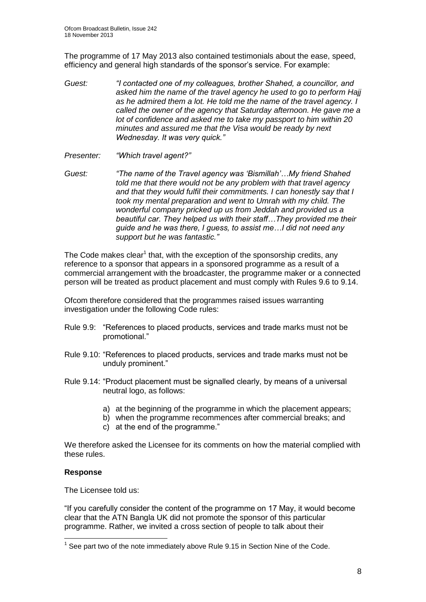The programme of 17 May 2013 also contained testimonials about the ease, speed, efficiency and general high standards of the sponsor's service. For example:

- *Guest: "I contacted one of my colleagues, brother Shahed, a councillor, and asked him the name of the travel agency he used to go to perform Hajj as he admired them a lot. He told me the name of the travel agency. I called the owner of the agency that Saturday afternoon. He gave me a lot of confidence and asked me to take my passport to him within 20 minutes and assured me that the Visa would be ready by next Wednesday. It was very quick."*
- *Presenter: "Which travel agent?"*
- *Guest: "The name of the Travel agency was 'Bismillah'…My friend Shahed told me that there would not be any problem with that travel agency and that they would fulfil their commitments. I can honestly say that I took my mental preparation and went to Umrah with my child. The wonderful company pricked up us from Jeddah and provided us a beautiful car. They helped us with their staff…They provided me their guide and he was there, I guess, to assist me…I did not need any support but he was fantastic."*

The Code makes clear<sup>1</sup> that, with the exception of the sponsorship credits, any reference to a sponsor that appears in a sponsored programme as a result of a commercial arrangement with the broadcaster, the programme maker or a connected person will be treated as product placement and must comply with Rules 9.6 to 9.14.

Ofcom therefore considered that the programmes raised issues warranting investigation under the following Code rules:

- Rule 9.9: "References to placed products, services and trade marks must not be promotional."
- Rule 9.10: "References to placed products, services and trade marks must not be unduly prominent."
- Rule 9.14: "Product placement must be signalled clearly, by means of a universal neutral logo, as follows:
	- a) at the beginning of the programme in which the placement appears;
	- b) when the programme recommences after commercial breaks; and
	- c) at the end of the programme."

We therefore asked the Licensee for its comments on how the material complied with these rules.

## **Response**

1

The Licensee told us:

"If you carefully consider the content of the programme on 17 May, it would become clear that the ATN Bangla UK did not promote the sponsor of this particular programme. Rather, we invited a cross section of people to talk about their

 $1$  See part two of the note immediately above Rule 9.15 in Section Nine of the Code.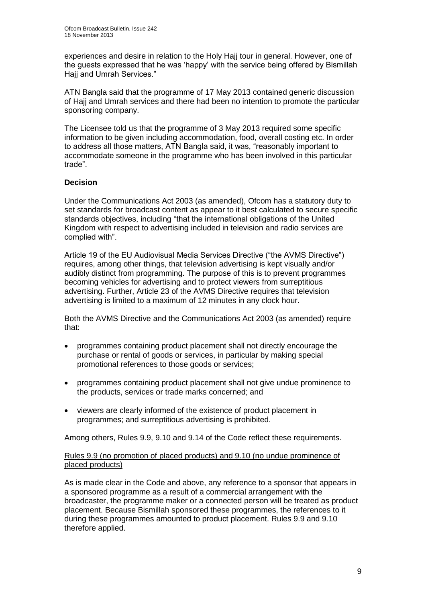experiences and desire in relation to the Holy Hajj tour in general. However, one of the guests expressed that he was 'happy' with the service being offered by Bismillah Hajj and Umrah Services."

ATN Bangla said that the programme of 17 May 2013 contained generic discussion of Hajj and Umrah services and there had been no intention to promote the particular sponsoring company.

The Licensee told us that the programme of 3 May 2013 required some specific information to be given including accommodation, food, overall costing etc. In order to address all those matters, ATN Bangla said, it was, "reasonably important to accommodate someone in the programme who has been involved in this particular trade".

## **Decision**

Under the Communications Act 2003 (as amended), Ofcom has a statutory duty to set standards for broadcast content as appear to it best calculated to secure specific standards objectives, including "that the international obligations of the United Kingdom with respect to advertising included in television and radio services are complied with".

Article 19 of the EU Audiovisual Media Services Directive ("the AVMS Directive") requires, among other things, that television advertising is kept visually and/or audibly distinct from programming. The purpose of this is to prevent programmes becoming vehicles for advertising and to protect viewers from surreptitious advertising. Further, Article 23 of the AVMS Directive requires that television advertising is limited to a maximum of 12 minutes in any clock hour.

Both the AVMS Directive and the Communications Act 2003 (as amended) require that:

- programmes containing product placement shall not directly encourage the purchase or rental of goods or services, in particular by making special promotional references to those goods or services;
- programmes containing product placement shall not give undue prominence to the products, services or trade marks concerned; and
- viewers are clearly informed of the existence of product placement in programmes; and surreptitious advertising is prohibited.

Among others, Rules 9.9, 9.10 and 9.14 of the Code reflect these requirements.

## Rules 9.9 (no promotion of placed products) and 9.10 (no undue prominence of placed products)

As is made clear in the Code and above, any reference to a sponsor that appears in a sponsored programme as a result of a commercial arrangement with the broadcaster, the programme maker or a connected person will be treated as product placement. Because Bismillah sponsored these programmes, the references to it during these programmes amounted to product placement. Rules 9.9 and 9.10 therefore applied.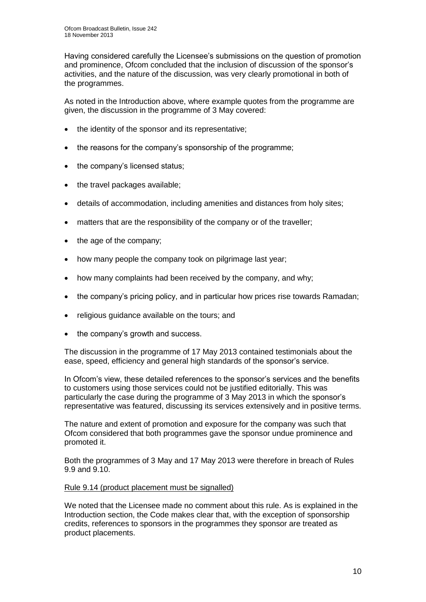Having considered carefully the Licensee's submissions on the question of promotion and prominence, Ofcom concluded that the inclusion of discussion of the sponsor's activities, and the nature of the discussion, was very clearly promotional in both of the programmes.

As noted in the Introduction above, where example quotes from the programme are given, the discussion in the programme of 3 May covered:

- the identity of the sponsor and its representative;
- the reasons for the company's sponsorship of the programme:
- the company's licensed status;
- the travel packages available;
- details of accommodation, including amenities and distances from holy sites;
- matters that are the responsibility of the company or of the traveller;
- $\bullet$  the age of the company;
- how many people the company took on pilgrimage last year;
- how many complaints had been received by the company, and why;
- the company's pricing policy, and in particular how prices rise towards Ramadan;
- religious guidance available on the tours; and
- the company's growth and success.

The discussion in the programme of 17 May 2013 contained testimonials about the ease, speed, efficiency and general high standards of the sponsor's service.

In Ofcom's view, these detailed references to the sponsor's services and the benefits to customers using those services could not be justified editorially. This was particularly the case during the programme of 3 May 2013 in which the sponsor's representative was featured, discussing its services extensively and in positive terms.

The nature and extent of promotion and exposure for the company was such that Ofcom considered that both programmes gave the sponsor undue prominence and promoted it.

Both the programmes of 3 May and 17 May 2013 were therefore in breach of Rules 9.9 and 9.10.

## Rule 9.14 (product placement must be signalled)

We noted that the Licensee made no comment about this rule. As is explained in the Introduction section, the Code makes clear that, with the exception of sponsorship credits, references to sponsors in the programmes they sponsor are treated as product placements.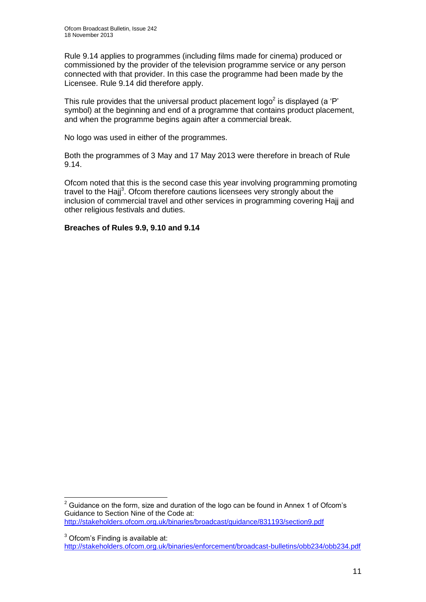Rule 9.14 applies to programmes (including films made for cinema) produced or commissioned by the provider of the television programme service or any person connected with that provider. In this case the programme had been made by the Licensee. Rule 9.14 did therefore apply.

This rule provides that the universal product placement logo<sup>2</sup> is displayed (a 'P' symbol) at the beginning and end of a programme that contains product placement, and when the programme begins again after a commercial break.

No logo was used in either of the programmes.

Both the programmes of 3 May and 17 May 2013 were therefore in breach of Rule 9.14.

Ofcom noted that this is the second case this year involving programming promoting travel to the Hajj<sup>3</sup>. Ofcom therefore cautions licensees very strongly about the inclusion of commercial travel and other services in programming covering Hajj and other religious festivals and duties.

## **Breaches of Rules 9.9, 9.10 and 9.14**

<sup>3</sup> Ofcom's Finding is available at: <http://stakeholders.ofcom.org.uk/binaries/enforcement/broadcast-bulletins/obb234/obb234.pdf>

<sup>1</sup>  $2$  Guidance on the form, size and duration of the logo can be found in Annex 1 of Ofcom's Guidance to Section Nine of the Code at: <http://stakeholders.ofcom.org.uk/binaries/broadcast/guidance/831193/section9.pdf>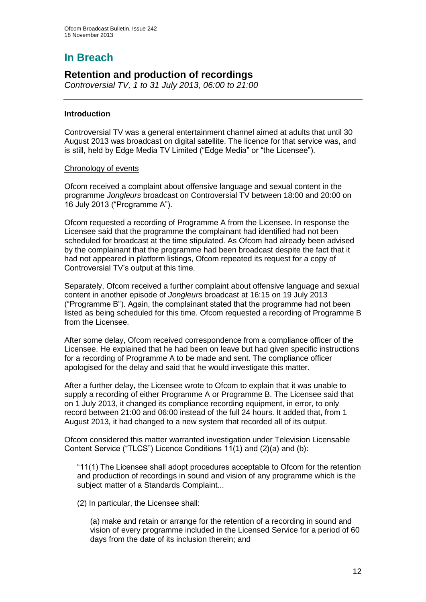# **In Breach**

## **Retention and production of recordings**

*Controversial TV, 1 to 31 July 2013, 06:00 to 21:00*

## **Introduction**

Controversial TV was a general entertainment channel aimed at adults that until 30 August 2013 was broadcast on digital satellite. The licence for that service was, and is still, held by Edge Media TV Limited ("Edge Media" or "the Licensee").

#### Chronology of events

Ofcom received a complaint about offensive language and sexual content in the programme *Jongleurs* broadcast on Controversial TV between 18:00 and 20:00 on 16 July 2013 ("Programme A").

Ofcom requested a recording of Programme A from the Licensee. In response the Licensee said that the programme the complainant had identified had not been scheduled for broadcast at the time stipulated. As Ofcom had already been advised by the complainant that the programme had been broadcast despite the fact that it had not appeared in platform listings, Ofcom repeated its request for a copy of Controversial TV's output at this time.

Separately, Ofcom received a further complaint about offensive language and sexual content in another episode of *Jongleurs* broadcast at 16:15 on 19 July 2013 ("Programme B"). Again, the complainant stated that the programme had not been listed as being scheduled for this time. Ofcom requested a recording of Programme B from the Licensee.

After some delay, Ofcom received correspondence from a compliance officer of the Licensee. He explained that he had been on leave but had given specific instructions for a recording of Programme A to be made and sent. The compliance officer apologised for the delay and said that he would investigate this matter.

After a further delay, the Licensee wrote to Ofcom to explain that it was unable to supply a recording of either Programme A or Programme B. The Licensee said that on 1 July 2013, it changed its compliance recording equipment, in error, to only record between 21:00 and 06:00 instead of the full 24 hours. It added that, from 1 August 2013, it had changed to a new system that recorded all of its output.

Ofcom considered this matter warranted investigation under Television Licensable Content Service ("TLCS") Licence Conditions 11(1) and (2)(a) and (b):

"11(1) The Licensee shall adopt procedures acceptable to Ofcom for the retention and production of recordings in sound and vision of any programme which is the subject matter of a Standards Complaint...

(2) In particular, the Licensee shall:

(a) make and retain or arrange for the retention of a recording in sound and vision of every programme included in the Licensed Service for a period of 60 days from the date of its inclusion therein; and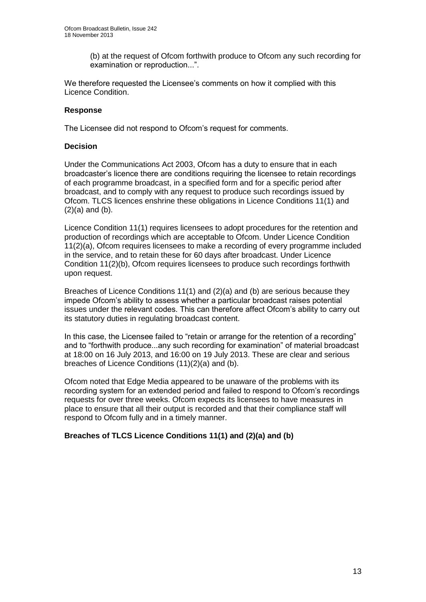(b) at the request of Ofcom forthwith produce to Ofcom any such recording for examination or reproduction...".

We therefore requested the Licensee's comments on how it complied with this Licence Condition.

## **Response**

The Licensee did not respond to Ofcom's request for comments.

## **Decision**

Under the Communications Act 2003, Ofcom has a duty to ensure that in each broadcaster's licence there are conditions requiring the licensee to retain recordings of each programme broadcast, in a specified form and for a specific period after broadcast, and to comply with any request to produce such recordings issued by Ofcom. TLCS licences enshrine these obligations in Licence Conditions 11(1) and  $(2)(a)$  and  $(b)$ .

Licence Condition 11(1) requires licensees to adopt procedures for the retention and production of recordings which are acceptable to Ofcom. Under Licence Condition 11(2)(a), Ofcom requires licensees to make a recording of every programme included in the service, and to retain these for 60 days after broadcast. Under Licence Condition 11(2)(b), Ofcom requires licensees to produce such recordings forthwith upon request.

Breaches of Licence Conditions 11(1) and  $(2)(a)$  and (b) are serious because they impede Ofcom's ability to assess whether a particular broadcast raises potential issues under the relevant codes. This can therefore affect Ofcom's ability to carry out its statutory duties in regulating broadcast content.

In this case, the Licensee failed to "retain or arrange for the retention of a recording" and to "forthwith produce...any such recording for examination" of material broadcast at 18:00 on 16 July 2013, and 16:00 on 19 July 2013. These are clear and serious breaches of Licence Conditions (11)(2)(a) and (b).

Ofcom noted that Edge Media appeared to be unaware of the problems with its recording system for an extended period and failed to respond to Ofcom's recordings requests for over three weeks. Ofcom expects its licensees to have measures in place to ensure that all their output is recorded and that their compliance staff will respond to Ofcom fully and in a timely manner.

## **Breaches of TLCS Licence Conditions 11(1) and (2)(a) and (b)**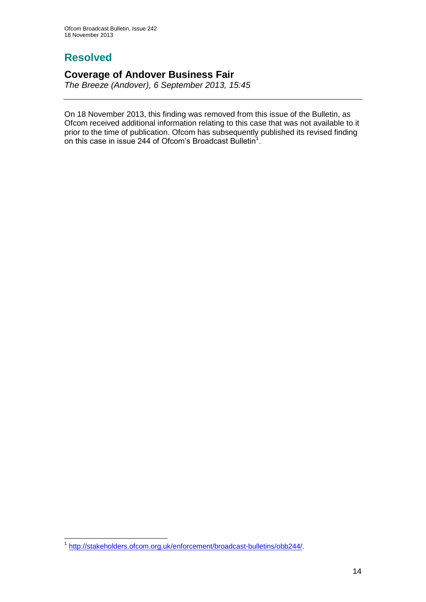# **Resolved**

## **Coverage of Andover Business Fair**

*The Breeze (Andover), 6 September 2013, 15:45*

On 18 November 2013, this finding was removed from this issue of the Bulletin, as Ofcom received additional information relating to this case that was not available to it prior to the time of publication. Ofcom has subsequently published its revised finding on this case in issue 244 of Ofcom's Broadcast Bulletin<sup>1</sup>.

 1 [http://stakeholders.ofcom.org.uk/enforcement/broadcast-bulletins/obb244/.](http://stakeholders.ofcom.org.uk/enforcement/broadcast-bulletins/obb244/)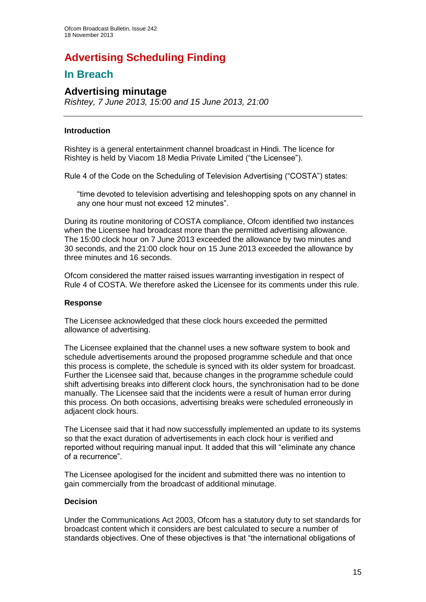# **Advertising Scheduling Finding**

## **In Breach**

## **Advertising minutage**

*Rishtey, 7 June 2013, 15:00 and 15 June 2013, 21:00*

## **Introduction**

Rishtey is a general entertainment channel broadcast in Hindi. The licence for Rishtey is held by Viacom 18 Media Private Limited ("the Licensee").

Rule 4 of the Code on the Scheduling of Television Advertising ("COSTA") states:

"time devoted to television advertising and teleshopping spots on any channel in any one hour must not exceed 12 minutes".

During its routine monitoring of COSTA compliance, Ofcom identified two instances when the Licensee had broadcast more than the permitted advertising allowance. The 15:00 clock hour on 7 June 2013 exceeded the allowance by two minutes and 30 seconds, and the 21:00 clock hour on 15 June 2013 exceeded the allowance by three minutes and 16 seconds.

Ofcom considered the matter raised issues warranting investigation in respect of Rule 4 of COSTA. We therefore asked the Licensee for its comments under this rule.

#### **Response**

The Licensee acknowledged that these clock hours exceeded the permitted allowance of advertising.

The Licensee explained that the channel uses a new software system to book and schedule advertisements around the proposed programme schedule and that once this process is complete, the schedule is synced with its older system for broadcast. Further the Licensee said that, because changes in the programme schedule could shift advertising breaks into different clock hours, the synchronisation had to be done manually. The Licensee said that the incidents were a result of human error during this process. On both occasions, advertising breaks were scheduled erroneously in adjacent clock hours.

The Licensee said that it had now successfully implemented an update to its systems so that the exact duration of advertisements in each clock hour is verified and reported without requiring manual input. It added that this will "eliminate any chance of a recurrence".

The Licensee apologised for the incident and submitted there was no intention to gain commercially from the broadcast of additional minutage.

## **Decision**

Under the Communications Act 2003, Ofcom has a statutory duty to set standards for broadcast content which it considers are best calculated to secure a number of standards objectives. One of these objectives is that "the international obligations of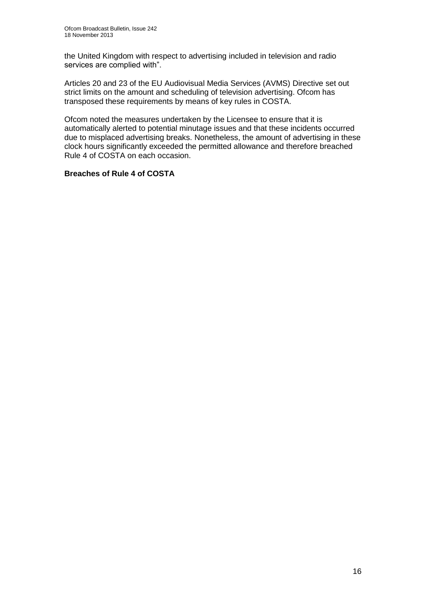the United Kingdom with respect to advertising included in television and radio services are complied with".

Articles 20 and 23 of the EU Audiovisual Media Services (AVMS) Directive set out strict limits on the amount and scheduling of television advertising. Ofcom has transposed these requirements by means of key rules in COSTA.

Ofcom noted the measures undertaken by the Licensee to ensure that it is automatically alerted to potential minutage issues and that these incidents occurred due to misplaced advertising breaks. Nonetheless, the amount of advertising in these clock hours significantly exceeded the permitted allowance and therefore breached Rule 4 of COSTA on each occasion.

## **Breaches of Rule 4 of COSTA**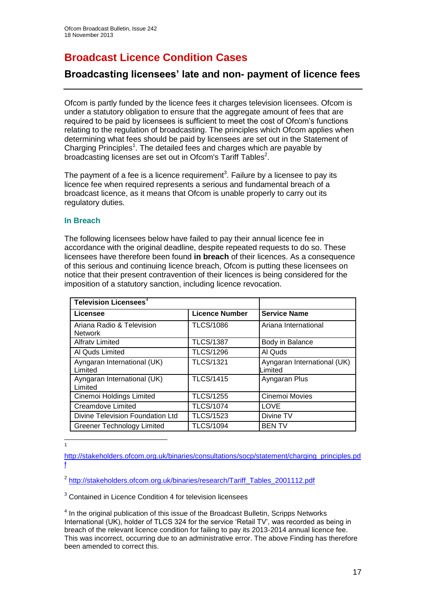# **Broadcast Licence Condition Cases**

## **Broadcasting licensees' late and non- payment of licence fees**

Ofcom is partly funded by the licence fees it charges television licensees. Ofcom is under a statutory obligation to ensure that the aggregate amount of fees that are required to be paid by licensees is sufficient to meet the cost of Ofcom's functions relating to the regulation of broadcasting. The principles which Ofcom applies when determining what fees should be paid by licensees are set out in the Statement of Charging Principles<sup>1</sup>. The detailed fees and charges which are payable by broadcasting licenses are set out in Ofcom's Tariff Tables<sup>2</sup>.

The payment of a fee is a licence requirement<sup>3</sup>. Failure by a licensee to pay its licence fee when required represents a serious and fundamental breach of a broadcast licence, as it means that Ofcom is unable properly to carry out its regulatory duties.

## **In Breach**

The following licensees below have failed to pay their annual licence fee in accordance with the original deadline, despite repeated requests to do so. These licensees have therefore been found **in breach** of their licences. As a consequence of this serious and continuing licence breach, Ofcom is putting these licensees on notice that their present contravention of their licences is being considered for the imposition of a statutory sanction, including licence revocation.

| <b>Television Licensees</b> <sup>4</sup>    |                       |                                        |
|---------------------------------------------|-----------------------|----------------------------------------|
| Licensee                                    | <b>Licence Number</b> | <b>Service Name</b>                    |
| Ariana Radio & Television<br><b>Network</b> | <b>TLCS/1086</b>      | Ariana International                   |
| <b>Alfraty Limited</b>                      | <b>TLCS/1387</b>      | Body in Balance                        |
| Al Quds Limited                             | <b>TLCS/1296</b>      | Al Quds                                |
| Ayngaran International (UK)<br>Limited      | <b>TLCS/1321</b>      | Ayngaran International (UK)<br>Limited |
| Ayngaran International (UK)<br>Limited      | <b>TLCS/1415</b>      | Ayngaran Plus                          |
| Cinemoi Holdings Limited                    | <b>TLCS/1255</b>      | Cinemoi Movies                         |
| <b>Creamdove Limited</b>                    | <b>TLCS/1074</b>      | LOVE                                   |
| Divine Television Foundation Ltd            | <b>TLCS/1523</b>      | Divine TV                              |
| <b>Greener Technology Limited</b>           | <b>TLCS/1094</b>      | <b>BENTV</b>                           |

 $\frac{1}{1}$ 

[http://stakeholders.ofcom.org.uk/binaries/consultations/socp/statement/charging\\_principles.pd](http://stakeholders.ofcom.org.uk/binaries/consultations/socp/statement/charging_principles.pdf) [f](http://stakeholders.ofcom.org.uk/binaries/consultations/socp/statement/charging_principles.pdf)

<sup>&</sup>lt;sup>2</sup> [http://stakeholders.ofcom.org.uk/binaries/research/Tariff\\_Tables\\_2001112.pdf](http://stakeholders.ofcom.org.uk/binaries/research/Tariff_Tables_2001112.pdf)

<sup>&</sup>lt;sup>3</sup> Contained in Licence Condition 4 for television licensees

 $<sup>4</sup>$  In the original publication of this issue of the Broadcast Bulletin, Scripps Networks</sup> International (UK), holder of TLCS 324 for the service 'Retail TV', was recorded as being in breach of the relevant licence condition for failing to pay its 2013-2014 annual licence fee. This was incorrect, occurring due to an administrative error. The above Finding has therefore been amended to correct this.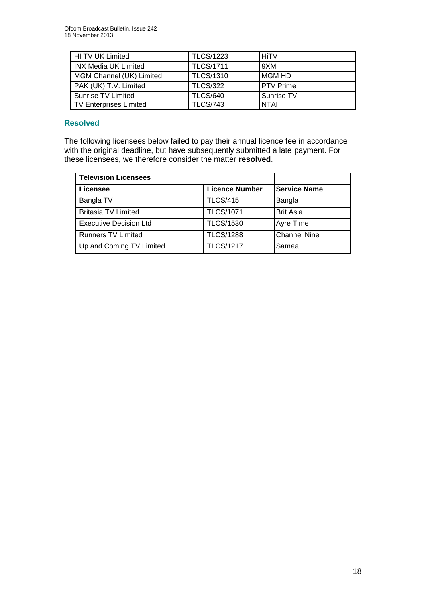| HI TV UK Limited              | <b>TLCS/1223</b> | <b>HiTV</b>      |
|-------------------------------|------------------|------------------|
| <b>INX Media UK Limited</b>   | <b>TLCS/1711</b> | 9XM              |
| MGM Channel (UK) Limited      | <b>TLCS/1310</b> | MGM HD           |
| PAK (UK) T.V. Limited         | <b>TLCS/322</b>  | <b>PTV Prime</b> |
| Sunrise TV Limited            | <b>TLCS/640</b>  | Sunrise TV       |
| <b>TV Enterprises Limited</b> | <b>TLCS/743</b>  | <b>NTAI</b>      |

## **Resolved**

The following licensees below failed to pay their annual licence fee in accordance with the original deadline, but have subsequently submitted a late payment. For these licensees, we therefore consider the matter **resolved**.

| <b>Television Licensees</b>   |                       |                     |
|-------------------------------|-----------------------|---------------------|
| Licensee                      | <b>Licence Number</b> | <b>Service Name</b> |
| Bangla TV                     | <b>TLCS/415</b>       | Bangla              |
| <b>Britasia TV Limited</b>    | <b>TLCS/1071</b>      | <b>Brit Asia</b>    |
| <b>Executive Decision Ltd</b> | <b>TLCS/1530</b>      | Ayre Time           |
| <b>Runners TV Limited</b>     | <b>TLCS/1288</b>      | <b>Channel Nine</b> |
| Up and Coming TV Limited      | <b>TLCS/1217</b>      | Samaa               |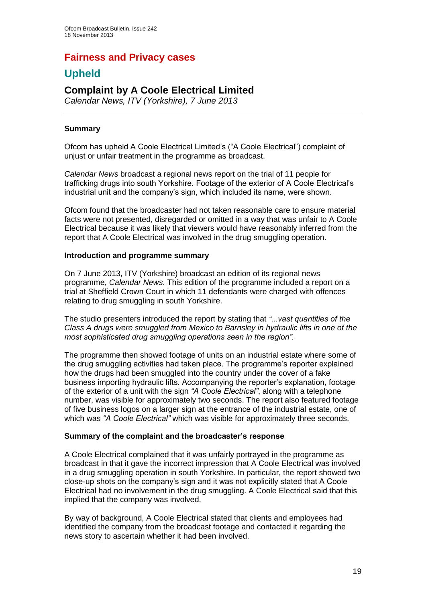## **Fairness and Privacy cases**

## **Upheld**

## **Complaint by A Coole Electrical Limited**

*Calendar News, ITV (Yorkshire), 7 June 2013*

## **Summary**

Ofcom has upheld A Coole Electrical Limited's ("A Coole Electrical") complaint of unjust or unfair treatment in the programme as broadcast.

*Calendar News* broadcast a regional news report on the trial of 11 people for trafficking drugs into south Yorkshire. Footage of the exterior of A Coole Electrical's industrial unit and the company's sign, which included its name, were shown.

Ofcom found that the broadcaster had not taken reasonable care to ensure material facts were not presented, disregarded or omitted in a way that was unfair to A Coole Electrical because it was likely that viewers would have reasonably inferred from the report that A Coole Electrical was involved in the drug smuggling operation.

## **Introduction and programme summary**

On 7 June 2013, ITV (Yorkshire) broadcast an edition of its regional news programme, *Calendar News*. This edition of the programme included a report on a trial at Sheffield Crown Court in which 11 defendants were charged with offences relating to drug smuggling in south Yorkshire.

The studio presenters introduced the report by stating that *"...vast quantities of the Class A drugs were smuggled from Mexico to Barnsley in hydraulic lifts in one of the most sophisticated drug smuggling operations seen in the region".* 

The programme then showed footage of units on an industrial estate where some of the drug smuggling activities had taken place. The programme's reporter explained how the drugs had been smuggled into the country under the cover of a fake business importing hydraulic lifts. Accompanying the reporter's explanation, footage of the exterior of a unit with the sign *"A Coole Electrical"*, along with a telephone number, was visible for approximately two seconds. The report also featured footage of five business logos on a larger sign at the entrance of the industrial estate, one of which was *"A Coole Electrical"* which was visible for approximately three seconds.

## **Summary of the complaint and the broadcaster's response**

A Coole Electrical complained that it was unfairly portrayed in the programme as broadcast in that it gave the incorrect impression that A Coole Electrical was involved in a drug smuggling operation in south Yorkshire. In particular, the report showed two close-up shots on the company's sign and it was not explicitly stated that A Coole Electrical had no involvement in the drug smuggling. A Coole Electrical said that this implied that the company was involved.

By way of background, A Coole Electrical stated that clients and employees had identified the company from the broadcast footage and contacted it regarding the news story to ascertain whether it had been involved.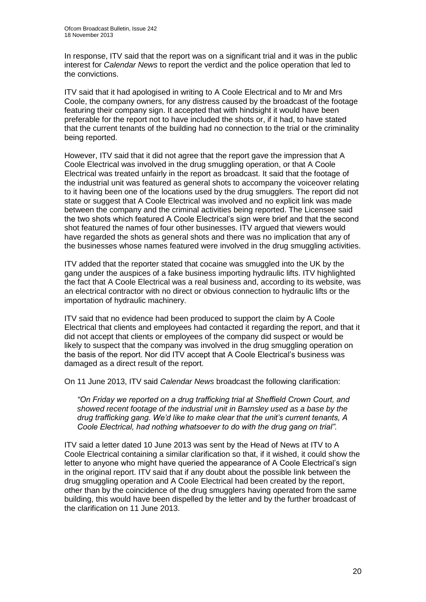In response, ITV said that the report was on a significant trial and it was in the public interest for *Calendar News* to report the verdict and the police operation that led to the convictions.

ITV said that it had apologised in writing to A Coole Electrical and to Mr and Mrs Coole, the company owners, for any distress caused by the broadcast of the footage featuring their company sign. It accepted that with hindsight it would have been preferable for the report not to have included the shots or, if it had, to have stated that the current tenants of the building had no connection to the trial or the criminality being reported.

However, ITV said that it did not agree that the report gave the impression that A Coole Electrical was involved in the drug smuggling operation, or that A Coole Electrical was treated unfairly in the report as broadcast. It said that the footage of the industrial unit was featured as general shots to accompany the voiceover relating to it having been one of the locations used by the drug smugglers. The report did not state or suggest that A Coole Electrical was involved and no explicit link was made between the company and the criminal activities being reported. The Licensee said the two shots which featured A Coole Electrical's sign were brief and that the second shot featured the names of four other businesses. ITV argued that viewers would have regarded the shots as general shots and there was no implication that any of the businesses whose names featured were involved in the drug smuggling activities.

ITV added that the reporter stated that cocaine was smuggled into the UK by the gang under the auspices of a fake business importing hydraulic lifts. ITV highlighted the fact that A Coole Electrical was a real business and, according to its website, was an electrical contractor with no direct or obvious connection to hydraulic lifts or the importation of hydraulic machinery.

ITV said that no evidence had been produced to support the claim by A Coole Electrical that clients and employees had contacted it regarding the report, and that it did not accept that clients or employees of the company did suspect or would be likely to suspect that the company was involved in the drug smuggling operation on the basis of the report. Nor did ITV accept that A Coole Electrical's business was damaged as a direct result of the report.

On 11 June 2013, ITV said *Calendar News* broadcast the following clarification:

*"On Friday we reported on a drug trafficking trial at Sheffield Crown Court, and showed recent footage of the industrial unit in Barnsley used as a base by the drug trafficking gang. We'd like to make clear that the unit's current tenants, A Coole Electrical, had nothing whatsoever to do with the drug gang on trial".* 

ITV said a letter dated 10 June 2013 was sent by the Head of News at ITV to A Coole Electrical containing a similar clarification so that, if it wished, it could show the letter to anyone who might have queried the appearance of A Coole Electrical's sign in the original report. ITV said that if any doubt about the possible link between the drug smuggling operation and A Coole Electrical had been created by the report, other than by the coincidence of the drug smugglers having operated from the same building, this would have been dispelled by the letter and by the further broadcast of the clarification on 11 June 2013.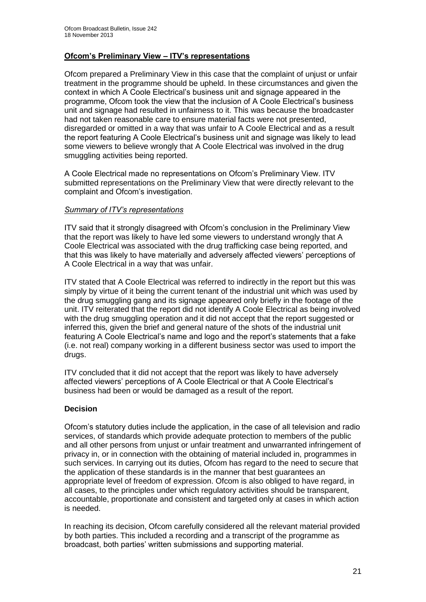## **Ofcom's Preliminary View – ITV's representations**

Ofcom prepared a Preliminary View in this case that the complaint of unjust or unfair treatment in the programme should be upheld. In these circumstances and given the context in which A Coole Electrical's business unit and signage appeared in the programme, Ofcom took the view that the inclusion of A Coole Electrical's business unit and signage had resulted in unfairness to it. This was because the broadcaster had not taken reasonable care to ensure material facts were not presented, disregarded or omitted in a way that was unfair to A Coole Electrical and as a result the report featuring A Coole Electrical's business unit and signage was likely to lead some viewers to believe wrongly that A Coole Electrical was involved in the drug smuggling activities being reported.

A Coole Electrical made no representations on Ofcom's Preliminary View. ITV submitted representations on the Preliminary View that were directly relevant to the complaint and Ofcom's investigation.

#### *Summary of ITV's representations*

ITV said that it strongly disagreed with Ofcom's conclusion in the Preliminary View that the report was likely to have led some viewers to understand wrongly that A Coole Electrical was associated with the drug trafficking case being reported, and that this was likely to have materially and adversely affected viewers' perceptions of A Coole Electrical in a way that was unfair.

ITV stated that A Coole Electrical was referred to indirectly in the report but this was simply by virtue of it being the current tenant of the industrial unit which was used by the drug smuggling gang and its signage appeared only briefly in the footage of the unit. ITV reiterated that the report did not identify A Coole Electrical as being involved with the drug smuggling operation and it did not accept that the report suggested or inferred this, given the brief and general nature of the shots of the industrial unit featuring A Coole Electrical's name and logo and the report's statements that a fake (i.e. not real) company working in a different business sector was used to import the drugs.

ITV concluded that it did not accept that the report was likely to have adversely affected viewers' perceptions of A Coole Electrical or that A Coole Electrical's business had been or would be damaged as a result of the report.

## **Decision**

Ofcom's statutory duties include the application, in the case of all television and radio services, of standards which provide adequate protection to members of the public and all other persons from unjust or unfair treatment and unwarranted infringement of privacy in, or in connection with the obtaining of material included in, programmes in such services. In carrying out its duties, Ofcom has regard to the need to secure that the application of these standards is in the manner that best guarantees an appropriate level of freedom of expression. Ofcom is also obliged to have regard, in all cases, to the principles under which regulatory activities should be transparent, accountable, proportionate and consistent and targeted only at cases in which action is needed.

In reaching its decision, Ofcom carefully considered all the relevant material provided by both parties. This included a recording and a transcript of the programme as broadcast, both parties' written submissions and supporting material.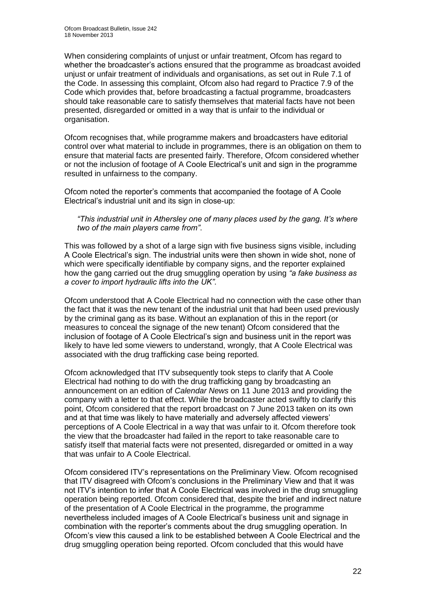When considering complaints of unjust or unfair treatment, Ofcom has regard to whether the broadcaster's actions ensured that the programme as broadcast avoided unjust or unfair treatment of individuals and organisations, as set out in Rule 7.1 of the Code. In assessing this complaint, Ofcom also had regard to Practice 7.9 of the Code which provides that, before broadcasting a factual programme, broadcasters should take reasonable care to satisfy themselves that material facts have not been presented, disregarded or omitted in a way that is unfair to the individual or organisation.

Ofcom recognises that, while programme makers and broadcasters have editorial control over what material to include in programmes, there is an obligation on them to ensure that material facts are presented fairly. Therefore, Ofcom considered whether or not the inclusion of footage of A Coole Electrical's unit and sign in the programme resulted in unfairness to the company.

Ofcom noted the reporter's comments that accompanied the footage of A Coole Electrical's industrial unit and its sign in close-up:

#### *"This industrial unit in Athersley one of many places used by the gang. It's where two of the main players came from"*.

This was followed by a shot of a large sign with five business signs visible, including A Coole Electrical's sign. The industrial units were then shown in wide shot, none of which were specifically identifiable by company signs, and the reporter explained how the gang carried out the drug smuggling operation by using *"a fake business as a cover to import hydraulic lifts into the UK"*.

Ofcom understood that A Coole Electrical had no connection with the case other than the fact that it was the new tenant of the industrial unit that had been used previously by the criminal gang as its base. Without an explanation of this in the report (or measures to conceal the signage of the new tenant) Ofcom considered that the inclusion of footage of A Coole Electrical's sign and business unit in the report was likely to have led some viewers to understand, wrongly, that A Coole Electrical was associated with the drug trafficking case being reported.

Ofcom acknowledged that ITV subsequently took steps to clarify that A Coole Electrical had nothing to do with the drug trafficking gang by broadcasting an announcement on an edition of *Calendar News* on 11 June 2013 and providing the company with a letter to that effect. While the broadcaster acted swiftly to clarify this point, Ofcom considered that the report broadcast on 7 June 2013 taken on its own and at that time was likely to have materially and adversely affected viewers' perceptions of A Coole Electrical in a way that was unfair to it. Ofcom therefore took the view that the broadcaster had failed in the report to take reasonable care to satisfy itself that material facts were not presented, disregarded or omitted in a way that was unfair to A Coole Electrical.

Ofcom considered ITV's representations on the Preliminary View. Ofcom recognised that ITV disagreed with Ofcom's conclusions in the Preliminary View and that it was not ITV's intention to infer that A Coole Electrical was involved in the drug smuggling operation being reported. Ofcom considered that, despite the brief and indirect nature of the presentation of A Coole Electrical in the programme, the programme nevertheless included images of A Coole Electrical's business unit and signage in combination with the reporter's comments about the drug smuggling operation. In Ofcom's view this caused a link to be established between A Coole Electrical and the drug smuggling operation being reported. Ofcom concluded that this would have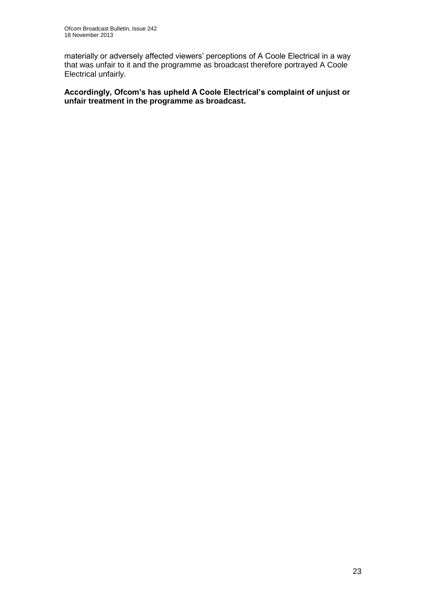materially or adversely affected viewers' perceptions of A Coole Electrical in a way that was unfair to it and the programme as broadcast therefore portrayed A Coole Electrical unfairly.

**Accordingly, Ofcom's has upheld A Coole Electrical's complaint of unjust or unfair treatment in the programme as broadcast.**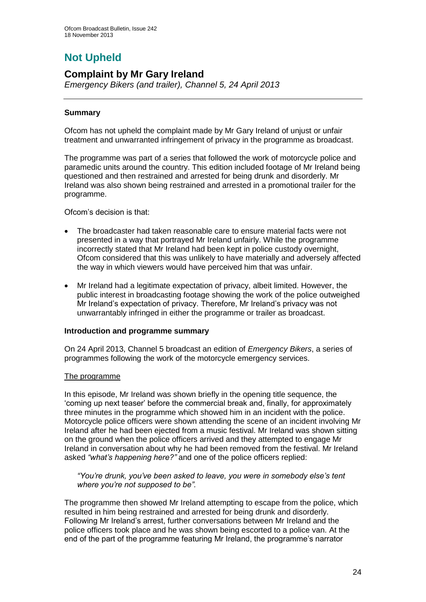# **Not Upheld**

## **Complaint by Mr Gary Ireland**

*Emergency Bikers (and trailer), Channel 5, 24 April 2013*

## **Summary**

Ofcom has not upheld the complaint made by Mr Gary Ireland of unjust or unfair treatment and unwarranted infringement of privacy in the programme as broadcast.

The programme was part of a series that followed the work of motorcycle police and paramedic units around the country. This edition included footage of Mr Ireland being questioned and then restrained and arrested for being drunk and disorderly. Mr Ireland was also shown being restrained and arrested in a promotional trailer for the programme.

Ofcom's decision is that:

- The broadcaster had taken reasonable care to ensure material facts were not presented in a way that portrayed Mr Ireland unfairly. While the programme incorrectly stated that Mr Ireland had been kept in police custody overnight, Ofcom considered that this was unlikely to have materially and adversely affected the way in which viewers would have perceived him that was unfair.
- Mr Ireland had a legitimate expectation of privacy, albeit limited. However, the public interest in broadcasting footage showing the work of the police outweighed Mr Ireland's expectation of privacy. Therefore, Mr Ireland's privacy was not unwarrantably infringed in either the programme or trailer as broadcast.

## **Introduction and programme summary**

On 24 April 2013, Channel 5 broadcast an edition of *Emergency Bikers*, a series of programmes following the work of the motorcycle emergency services.

## The programme

In this episode, Mr Ireland was shown briefly in the opening title sequence, the 'coming up next teaser' before the commercial break and, finally, for approximately three minutes in the programme which showed him in an incident with the police. Motorcycle police officers were shown attending the scene of an incident involving Mr Ireland after he had been ejected from a music festival. Mr Ireland was shown sitting on the ground when the police officers arrived and they attempted to engage Mr Ireland in conversation about why he had been removed from the festival. Mr Ireland asked *"what's happening here?"* and one of the police officers replied:

*"You're drunk, you've been asked to leave, you were in somebody else's tent where you're not supposed to be".* 

The programme then showed Mr Ireland attempting to escape from the police, which resulted in him being restrained and arrested for being drunk and disorderly. Following Mr Ireland's arrest, further conversations between Mr Ireland and the police officers took place and he was shown being escorted to a police van. At the end of the part of the programme featuring Mr Ireland, the programme's narrator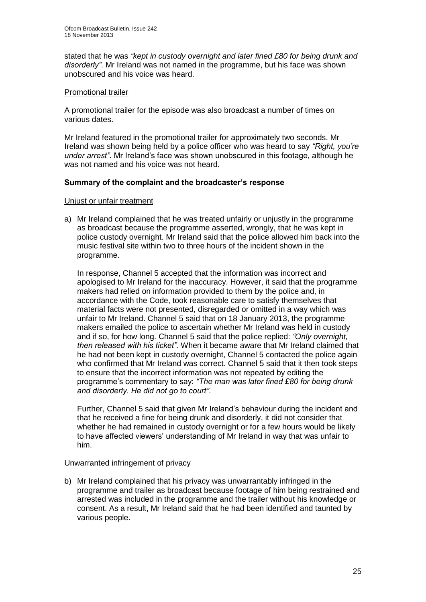stated that he was *"kept in custody overnight and later fined £80 for being drunk and disorderly"*. Mr Ireland was not named in the programme, but his face was shown unobscured and his voice was heard.

#### Promotional trailer

A promotional trailer for the episode was also broadcast a number of times on various dates.

Mr Ireland featured in the promotional trailer for approximately two seconds. Mr Ireland was shown being held by a police officer who was heard to say *"Right, you're under arrest"*. Mr Ireland's face was shown unobscured in this footage, although he was not named and his voice was not heard.

## **Summary of the complaint and the broadcaster's response**

#### Unjust or unfair treatment

a) Mr Ireland complained that he was treated unfairly or unjustly in the programme as broadcast because the programme asserted, wrongly, that he was kept in police custody overnight. Mr Ireland said that the police allowed him back into the music festival site within two to three hours of the incident shown in the programme.

In response, Channel 5 accepted that the information was incorrect and apologised to Mr Ireland for the inaccuracy. However, it said that the programme makers had relied on information provided to them by the police and, in accordance with the Code, took reasonable care to satisfy themselves that material facts were not presented, disregarded or omitted in a way which was unfair to Mr Ireland. Channel 5 said that on 18 January 2013, the programme makers emailed the police to ascertain whether Mr Ireland was held in custody and if so, for how long. Channel 5 said that the police replied: *"Only overnight, then released with his ticket".* When it became aware that Mr Ireland claimed that he had not been kept in custody overnight, Channel 5 contacted the police again who confirmed that Mr Ireland was correct. Channel 5 said that it then took steps to ensure that the incorrect information was not repeated by editing the programme's commentary to say: *"The man was later fined £80 for being drunk and disorderly. He did not go to court"*.

Further, Channel 5 said that given Mr Ireland's behaviour during the incident and that he received a fine for being drunk and disorderly, it did not consider that whether he had remained in custody overnight or for a few hours would be likely to have affected viewers' understanding of Mr Ireland in way that was unfair to him.

#### Unwarranted infringement of privacy

b) Mr Ireland complained that his privacy was unwarrantably infringed in the programme and trailer as broadcast because footage of him being restrained and arrested was included in the programme and the trailer without his knowledge or consent. As a result, Mr Ireland said that he had been identified and taunted by various people.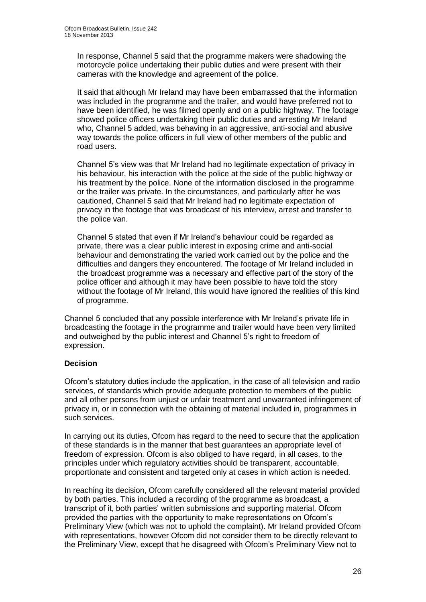In response, Channel 5 said that the programme makers were shadowing the motorcycle police undertaking their public duties and were present with their cameras with the knowledge and agreement of the police.

It said that although Mr Ireland may have been embarrassed that the information was included in the programme and the trailer, and would have preferred not to have been identified, he was filmed openly and on a public highway. The footage showed police officers undertaking their public duties and arresting Mr Ireland who, Channel 5 added, was behaving in an aggressive, anti-social and abusive way towards the police officers in full view of other members of the public and road users.

Channel 5's view was that Mr Ireland had no legitimate expectation of privacy in his behaviour, his interaction with the police at the side of the public highway or his treatment by the police. None of the information disclosed in the programme or the trailer was private. In the circumstances, and particularly after he was cautioned, Channel 5 said that Mr Ireland had no legitimate expectation of privacy in the footage that was broadcast of his interview, arrest and transfer to the police van.

Channel 5 stated that even if Mr Ireland's behaviour could be regarded as private, there was a clear public interest in exposing crime and anti-social behaviour and demonstrating the varied work carried out by the police and the difficulties and dangers they encountered. The footage of Mr Ireland included in the broadcast programme was a necessary and effective part of the story of the police officer and although it may have been possible to have told the story without the footage of Mr Ireland, this would have ignored the realities of this kind of programme.

Channel 5 concluded that any possible interference with Mr Ireland's private life in broadcasting the footage in the programme and trailer would have been very limited and outweighed by the public interest and Channel 5's right to freedom of expression.

## **Decision**

Ofcom's statutory duties include the application, in the case of all television and radio services, of standards which provide adequate protection to members of the public and all other persons from unjust or unfair treatment and unwarranted infringement of privacy in, or in connection with the obtaining of material included in, programmes in such services.

In carrying out its duties, Ofcom has regard to the need to secure that the application of these standards is in the manner that best guarantees an appropriate level of freedom of expression. Ofcom is also obliged to have regard, in all cases, to the principles under which regulatory activities should be transparent, accountable, proportionate and consistent and targeted only at cases in which action is needed.

In reaching its decision, Ofcom carefully considered all the relevant material provided by both parties. This included a recording of the programme as broadcast, a transcript of it, both parties' written submissions and supporting material. Ofcom provided the parties with the opportunity to make representations on Ofcom's Preliminary View (which was not to uphold the complaint). Mr Ireland provided Ofcom with representations, however Ofcom did not consider them to be directly relevant to the Preliminary View, except that he disagreed with Ofcom's Preliminary View not to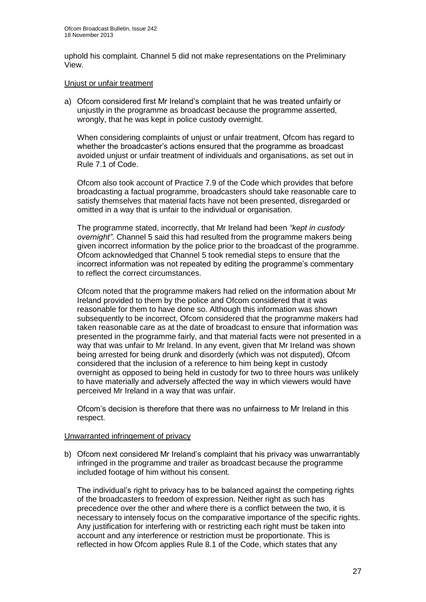uphold his complaint. Channel 5 did not make representations on the Preliminary View.

#### Unjust or unfair treatment

a) Ofcom considered first Mr Ireland's complaint that he was treated unfairly or unjustly in the programme as broadcast because the programme asserted, wrongly, that he was kept in police custody overnight.

When considering complaints of unjust or unfair treatment, Ofcom has regard to whether the broadcaster's actions ensured that the programme as broadcast avoided unjust or unfair treatment of individuals and organisations, as set out in Rule 7.1 of Code.

Ofcom also took account of Practice 7.9 of the Code which provides that before broadcasting a factual programme, broadcasters should take reasonable care to satisfy themselves that material facts have not been presented, disregarded or omitted in a way that is unfair to the individual or organisation.

The programme stated, incorrectly, that Mr Ireland had been *"kept in custody overnight"*. Channel 5 said this had resulted from the programme makers being given incorrect information by the police prior to the broadcast of the programme. Ofcom acknowledged that Channel 5 took remedial steps to ensure that the incorrect information was not repeated by editing the programme's commentary to reflect the correct circumstances.

Ofcom noted that the programme makers had relied on the information about Mr Ireland provided to them by the police and Ofcom considered that it was reasonable for them to have done so. Although this information was shown subsequently to be incorrect, Ofcom considered that the programme makers had taken reasonable care as at the date of broadcast to ensure that information was presented in the programme fairly, and that material facts were not presented in a way that was unfair to Mr Ireland. In any event, given that Mr Ireland was shown being arrested for being drunk and disorderly (which was not disputed), Ofcom considered that the inclusion of a reference to him being kept in custody overnight as opposed to being held in custody for two to three hours was unlikely to have materially and adversely affected the way in which viewers would have perceived Mr Ireland in a way that was unfair.

Ofcom's decision is therefore that there was no unfairness to Mr Ireland in this respect.

## Unwarranted infringement of privacy

b) Ofcom next considered Mr Ireland's complaint that his privacy was unwarrantably infringed in the programme and trailer as broadcast because the programme included footage of him without his consent.

The individual's right to privacy has to be balanced against the competing rights of the broadcasters to freedom of expression. Neither right as such has precedence over the other and where there is a conflict between the two, it is necessary to intensely focus on the comparative importance of the specific rights. Any justification for interfering with or restricting each right must be taken into account and any interference or restriction must be proportionate. This is reflected in how Ofcom applies Rule 8.1 of the Code, which states that any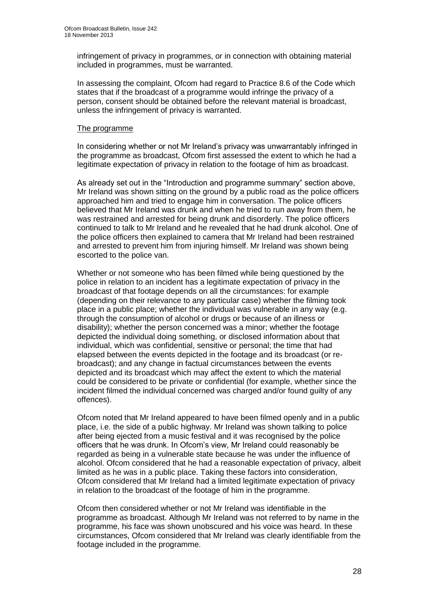infringement of privacy in programmes, or in connection with obtaining material included in programmes, must be warranted.

In assessing the complaint, Ofcom had regard to Practice 8.6 of the Code which states that if the broadcast of a programme would infringe the privacy of a person, consent should be obtained before the relevant material is broadcast, unless the infringement of privacy is warranted.

#### The programme

In considering whether or not Mr Ireland's privacy was unwarrantably infringed in the programme as broadcast, Ofcom first assessed the extent to which he had a legitimate expectation of privacy in relation to the footage of him as broadcast.

As already set out in the "Introduction and programme summary" section above, Mr Ireland was shown sitting on the ground by a public road as the police officers approached him and tried to engage him in conversation. The police officers believed that Mr Ireland was drunk and when he tried to run away from them, he was restrained and arrested for being drunk and disorderly. The police officers continued to talk to Mr Ireland and he revealed that he had drunk alcohol. One of the police officers then explained to camera that Mr Ireland had been restrained and arrested to prevent him from injuring himself. Mr Ireland was shown being escorted to the police van.

Whether or not someone who has been filmed while being questioned by the police in relation to an incident has a legitimate expectation of privacy in the broadcast of that footage depends on all the circumstances: for example (depending on their relevance to any particular case) whether the filming took place in a public place; whether the individual was vulnerable in any way (e.g. through the consumption of alcohol or drugs or because of an illness or disability); whether the person concerned was a minor; whether the footage depicted the individual doing something, or disclosed information about that individual, which was confidential, sensitive or personal; the time that had elapsed between the events depicted in the footage and its broadcast (or rebroadcast); and any change in factual circumstances between the events depicted and its broadcast which may affect the extent to which the material could be considered to be private or confidential (for example, whether since the incident filmed the individual concerned was charged and/or found guilty of any offences).

Ofcom noted that Mr Ireland appeared to have been filmed openly and in a public place, i.e. the side of a public highway. Mr Ireland was shown talking to police after being ejected from a music festival and it was recognised by the police officers that he was drunk. In Ofcom's view, Mr Ireland could reasonably be regarded as being in a vulnerable state because he was under the influence of alcohol. Ofcom considered that he had a reasonable expectation of privacy, albeit limited as he was in a public place. Taking these factors into consideration, Ofcom considered that Mr Ireland had a limited legitimate expectation of privacy in relation to the broadcast of the footage of him in the programme.

Ofcom then considered whether or not Mr Ireland was identifiable in the programme as broadcast. Although Mr Ireland was not referred to by name in the programme, his face was shown unobscured and his voice was heard. In these circumstances, Ofcom considered that Mr Ireland was clearly identifiable from the footage included in the programme.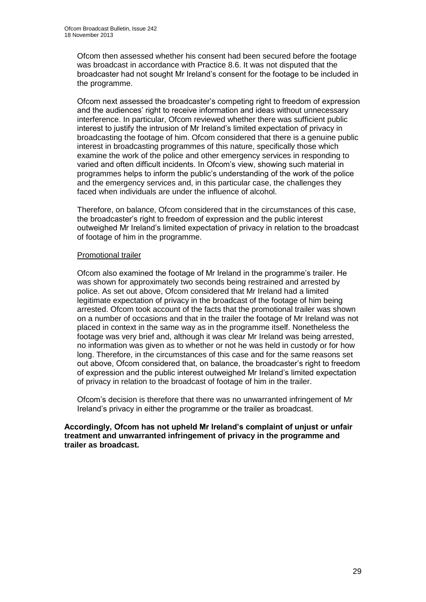Ofcom then assessed whether his consent had been secured before the footage was broadcast in accordance with Practice 8.6. It was not disputed that the broadcaster had not sought Mr Ireland's consent for the footage to be included in the programme.

Ofcom next assessed the broadcaster's competing right to freedom of expression and the audiences' right to receive information and ideas without unnecessary interference. In particular, Ofcom reviewed whether there was sufficient public interest to justify the intrusion of Mr Ireland's limited expectation of privacy in broadcasting the footage of him. Ofcom considered that there is a genuine public interest in broadcasting programmes of this nature, specifically those which examine the work of the police and other emergency services in responding to varied and often difficult incidents. In Ofcom's view, showing such material in programmes helps to inform the public's understanding of the work of the police and the emergency services and, in this particular case, the challenges they faced when individuals are under the influence of alcohol.

Therefore, on balance, Ofcom considered that in the circumstances of this case, the broadcaster's right to freedom of expression and the public interest outweighed Mr Ireland's limited expectation of privacy in relation to the broadcast of footage of him in the programme.

#### Promotional trailer

Ofcom also examined the footage of Mr Ireland in the programme's trailer. He was shown for approximately two seconds being restrained and arrested by police. As set out above, Ofcom considered that Mr Ireland had a limited legitimate expectation of privacy in the broadcast of the footage of him being arrested. Ofcom took account of the facts that the promotional trailer was shown on a number of occasions and that in the trailer the footage of Mr Ireland was not placed in context in the same way as in the programme itself. Nonetheless the footage was very brief and, although it was clear Mr Ireland was being arrested, no information was given as to whether or not he was held in custody or for how long. Therefore, in the circumstances of this case and for the same reasons set out above, Ofcom considered that, on balance, the broadcaster's right to freedom of expression and the public interest outweighed Mr Ireland's limited expectation of privacy in relation to the broadcast of footage of him in the trailer.

Ofcom's decision is therefore that there was no unwarranted infringement of Mr Ireland's privacy in either the programme or the trailer as broadcast.

**Accordingly, Ofcom has not upheld Mr Ireland's complaint of unjust or unfair treatment and unwarranted infringement of privacy in the programme and trailer as broadcast.**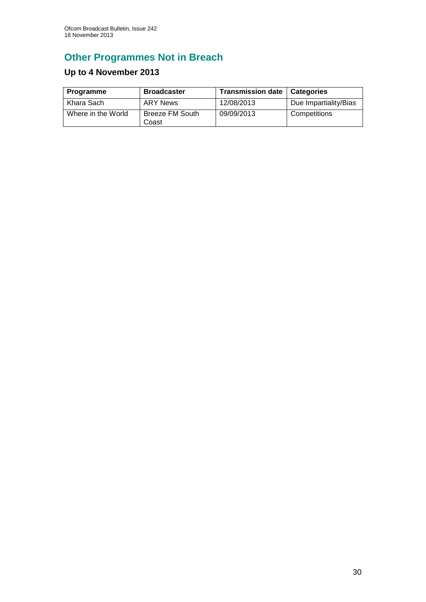# **Other Programmes Not in Breach**

## **Up to 4 November 2013**

| Programme          | <b>Broadcaster</b>              | <b>Transmission date</b> | <b>Categories</b>     |
|--------------------|---------------------------------|--------------------------|-----------------------|
| Khara Sach         | ARY News                        | 12/08/2013               | Due Impartiality/Bias |
| Where in the World | <b>Breeze FM South</b><br>Coast | 09/09/2013               | Competitions          |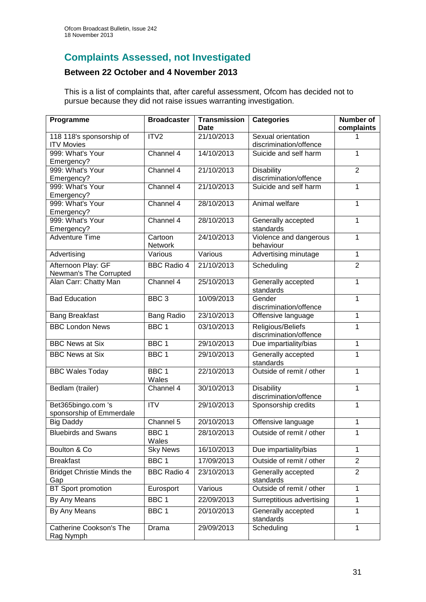# **Complaints Assessed, not Investigated**

## **Between 22 October and 4 November 2013**

This is a list of complaints that, after careful assessment, Ofcom has decided not to pursue because they did not raise issues warranting investigation.

| Programme                                      | <b>Broadcaster</b>        | <b>Transmission</b><br>Date | <b>Categories</b>                            | <b>Number of</b><br>complaints |
|------------------------------------------------|---------------------------|-----------------------------|----------------------------------------------|--------------------------------|
| 118 118's sponsorship of<br><b>ITV Movies</b>  | ITV <sub>2</sub>          | 21/10/2013                  | Sexual orientation<br>discrimination/offence |                                |
| 999: What's Your<br>Emergency?                 | Channel 4                 | 14/10/2013                  | Suicide and self harm                        | 1                              |
| 999: What's Your<br>Emergency?                 | Channel 4                 | 21/10/2013                  | <b>Disability</b><br>discrimination/offence  | $\overline{2}$                 |
| 999: What's Your<br>Emergency?                 | Channel 4                 | 21/10/2013                  | Suicide and self harm                        | 1                              |
| 999: What's Your<br>Emergency?                 | Channel 4                 | 28/10/2013                  | Animal welfare                               | 1                              |
| 999: What's Your<br>Emergency?                 | Channel 4                 | 28/10/2013                  | Generally accepted<br>standards              | 1                              |
| <b>Adventure Time</b>                          | Cartoon<br>Network        | 24/10/2013                  | Violence and dangerous<br>behaviour          | 1                              |
| Advertising                                    | Various                   | Various                     | Advertising minutage                         | 1                              |
| Afternoon Play: GF<br>Newman's The Corrupted   | <b>BBC Radio 4</b>        | 21/10/2013                  | Scheduling                                   | $\overline{2}$                 |
| Alan Carr: Chatty Man                          | Channel 4                 | 25/10/2013                  | Generally accepted<br>standards              | 1                              |
| <b>Bad Education</b>                           | BBC <sub>3</sub>          | 10/09/2013                  | Gender<br>discrimination/offence             | 1                              |
| <b>Bang Breakfast</b>                          | <b>Bang Radio</b>         | 23/10/2013                  | Offensive language                           | 1                              |
| <b>BBC London News</b>                         | BBC <sub>1</sub>          | 03/10/2013                  | Religious/Beliefs<br>discrimination/offence  | 1                              |
| <b>BBC News at Six</b>                         | BBC <sub>1</sub>          | 29/10/2013                  | Due impartiality/bias                        | 1                              |
| <b>BBC News at Six</b>                         | BBC <sub>1</sub>          | 29/10/2013                  | Generally accepted<br>standards              | 1                              |
| <b>BBC Wales Today</b>                         | BBC <sub>1</sub><br>Wales | 22/10/2013                  | Outside of remit / other                     | 1                              |
| Bedlam (trailer)                               | Channel 4                 | 30/10/2013                  | <b>Disability</b><br>discrimination/offence  | 1                              |
| Bet365bingo.com 's<br>sponsorship of Emmerdale | <b>ITV</b>                | 29/10/2013                  | Sponsorship credits                          | 1                              |
| <b>Big Daddy</b>                               | Channel 5                 | 20/10/2013                  | Offensive language                           | 1                              |
| <b>Bluebirds and Swans</b>                     | BBC 1<br>Wales            | 28/10/2013                  | Outside of remit / other                     | 1                              |
| Boulton & Co                                   | <b>Sky News</b>           | 16/10/2013                  | Due impartiality/bias                        | 1                              |
| <b>Breakfast</b>                               | BBC 1                     | 17/09/2013                  | Outside of remit / other                     | $\overline{2}$                 |
| <b>Bridget Christie Minds the</b><br>Gap       | <b>BBC Radio 4</b>        | 23/10/2013                  | Generally accepted<br>standards              | $\overline{2}$                 |
| <b>BT</b> Sport promotion                      | Eurosport                 | Various                     | Outside of remit / other                     | 1                              |
| By Any Means                                   | BBC <sub>1</sub>          | 22/09/2013                  | Surreptitious advertising                    | 1                              |
| By Any Means                                   | BBC 1                     | 20/10/2013                  | Generally accepted<br>standards              | 1                              |
| <b>Catherine Cookson's The</b><br>Rag Nymph    | Drama                     | 29/09/2013                  | Scheduling                                   | 1                              |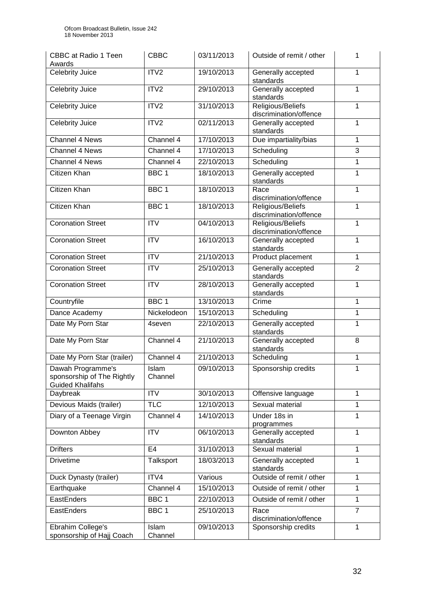| <b>CBBC</b> at Radio 1 Teen<br>Awards                                      | <b>CBBC</b>            | 03/11/2013 | Outside of remit / other                    | 1              |
|----------------------------------------------------------------------------|------------------------|------------|---------------------------------------------|----------------|
| Celebrity Juice                                                            | ITV2                   | 19/10/2013 | Generally accepted<br>standards             | 1              |
| Celebrity Juice                                                            | ITV2                   | 29/10/2013 | Generally accepted<br>standards             | 1              |
| <b>Celebrity Juice</b>                                                     | ITV2                   | 31/10/2013 | Religious/Beliefs<br>discrimination/offence | 1              |
| Celebrity Juice                                                            | ITV2                   | 02/11/2013 | Generally accepted<br>standards             | 1              |
| Channel 4 News                                                             | Channel 4              | 17/10/2013 | Due impartiality/bias                       | 1              |
| Channel 4 News                                                             | Channel 4              | 17/10/2013 | Scheduling                                  | 3              |
| Channel 4 News                                                             | Channel 4              | 22/10/2013 | Scheduling                                  | 1              |
| Citizen Khan                                                               | BBC <sub>1</sub>       | 18/10/2013 | Generally accepted<br>standards             | 1              |
| <b>Citizen Khan</b>                                                        | BBC <sub>1</sub>       | 18/10/2013 | Race<br>discrimination/offence              | 1              |
| Citizen Khan                                                               | BBC <sub>1</sub>       | 18/10/2013 | Religious/Beliefs<br>discrimination/offence | 1              |
| <b>Coronation Street</b>                                                   | <b>ITV</b>             | 04/10/2013 | Religious/Beliefs<br>discrimination/offence | 1              |
| <b>Coronation Street</b>                                                   | <b>ITV</b>             | 16/10/2013 | Generally accepted<br>standards             | 1              |
| <b>Coronation Street</b>                                                   | <b>ITV</b>             | 21/10/2013 | Product placement                           | 1              |
| <b>Coronation Street</b>                                                   | $\overline{\text{IV}}$ | 25/10/2013 | Generally accepted<br>standards             | $\overline{2}$ |
| <b>Coronation Street</b>                                                   | <b>ITV</b>             | 28/10/2013 | Generally accepted<br>standards             | 1              |
| Countryfile                                                                | BBC <sub>1</sub>       | 13/10/2013 | Crime                                       | 1              |
| Dance Academy                                                              | Nickelodeon            | 15/10/2013 | Scheduling                                  | 1              |
| Date My Porn Star                                                          | 4seven                 | 22/10/2013 | Generally accepted<br>standards             | 1              |
| Date My Porn Star                                                          | Channel 4              | 21/10/2013 | Generally accepted<br>standards             | 8              |
| Date My Porn Star (trailer)                                                | Channel 4              | 21/10/2013 | Scheduling                                  | 1              |
| Dawah Programme's<br>sponsorship of The Rightly<br><b>Guided Khalifahs</b> | Islam<br>Channel       | 09/10/2013 | Sponsorship credits                         | 1              |
| Daybreak                                                                   | $\overline{IV}$        | 30/10/2013 | Offensive language                          | 1              |
| Devious Maids (trailer)                                                    | <b>TLC</b>             | 12/10/2013 | Sexual material                             | 1              |
| Diary of a Teenage Virgin                                                  | Channel 4              | 14/10/2013 | Under 18s in<br>programmes                  | 1              |
| Downton Abbey                                                              | <b>ITV</b>             | 06/10/2013 | Generally accepted<br>standards             | 1              |
| <b>Drifters</b>                                                            | E <sub>4</sub>         | 31/10/2013 | Sexual material                             | 1              |
| <b>Drivetime</b>                                                           | Talksport              | 18/03/2013 | Generally accepted<br>standards             | 1              |
| Duck Dynasty (trailer)                                                     | ITV4                   | Various    | Outside of remit / other                    | 1              |
| Earthquake                                                                 | Channel 4              | 15/10/2013 | Outside of remit / other                    | 1              |
| EastEnders                                                                 | BBC <sub>1</sub>       | 22/10/2013 | Outside of remit / other                    | 1              |
| EastEnders                                                                 | BBC <sub>1</sub>       | 25/10/2013 | Race<br>discrimination/offence              | $\overline{7}$ |
| Ebrahim College's<br>sponsorship of Hajj Coach                             | Islam<br>Channel       | 09/10/2013 | Sponsorship credits                         | 1              |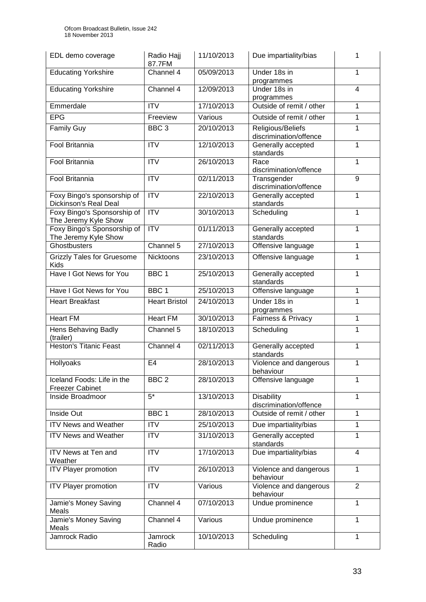| EDL demo coverage                                           | Radio Hajj<br>87.7FM   | 11/10/2013 | Due impartiality/bias                       | 1              |
|-------------------------------------------------------------|------------------------|------------|---------------------------------------------|----------------|
| <b>Educating Yorkshire</b>                                  | Channel 4              | 05/09/2013 | Under 18s in<br>programmes                  | $\mathbf{1}$   |
| <b>Educating Yorkshire</b>                                  | Channel 4              | 12/09/2013 | Under 18s in<br>programmes                  | $\overline{4}$ |
| Emmerdale                                                   | <b>ITV</b>             | 17/10/2013 | Outside of remit / other                    | 1              |
| <b>EPG</b>                                                  | Freeview               | Various    | Outside of remit / other                    | 1              |
| <b>Family Guy</b>                                           | BBC <sub>3</sub>       | 20/10/2013 | Religious/Beliefs<br>discrimination/offence | 1              |
| <b>Fool Britannia</b>                                       | <b>ITV</b>             | 12/10/2013 | Generally accepted<br>standards             | 1              |
| Fool Britannia                                              | <b>ITV</b>             | 26/10/2013 | Race<br>discrimination/offence              | 1              |
| Fool Britannia                                              | <b>ITV</b>             | 02/11/2013 | Transgender<br>discrimination/offence       | 9              |
| Foxy Bingo's sponsorship of<br><b>Dickinson's Real Deal</b> | ITV                    | 22/10/2013 | Generally accepted<br>standards             | 1              |
| Foxy Bingo's Sponsorship of<br>The Jeremy Kyle Show         | $\overline{\text{IV}}$ | 30/10/2013 | Scheduling                                  | 1              |
| Foxy Bingo's Sponsorship of<br>The Jeremy Kyle Show         | ITV                    | 01/11/2013 | Generally accepted<br>standards             | 1              |
| Ghostbusters                                                | Channel 5              | 27/10/2013 | Offensive language                          | 1              |
| <b>Grizzly Tales for Gruesome</b><br><b>Kids</b>            | Nicktoons              | 23/10/2013 | Offensive language                          | 1              |
| Have I Got News for You                                     | BBC <sub>1</sub>       | 25/10/2013 | Generally accepted<br>standards             | 1              |
| Have I Got News for You                                     | BBC <sub>1</sub>       | 25/10/2013 | Offensive language                          | $\mathbf{1}$   |
| <b>Heart Breakfast</b>                                      | <b>Heart Bristol</b>   | 24/10/2013 | Under 18s in<br>programmes                  | 1              |
| <b>Heart FM</b>                                             | <b>Heart FM</b>        | 30/10/2013 | Fairness & Privacy                          | 1              |
| Hens Behaving Badly<br>(trailer)                            | Channel 5              | 18/10/2013 | Scheduling                                  | 1              |
| <b>Heston's Titanic Feast</b>                               | Channel 4              | 02/11/2013 | Generally accepted<br>standards             | 1              |
| Hollyoaks                                                   | E <sub>4</sub>         | 28/10/2013 | Violence and dangerous<br>behaviour         | 1              |
| Iceland Foods: Life in the<br><b>Freezer Cabinet</b>        | BBC <sub>2</sub>       | 28/10/2013 | Offensive language                          | 1              |
| Inside Broadmoor                                            | $5*$                   | 13/10/2013 | <b>Disability</b><br>discrimination/offence | 1              |
| Inside Out                                                  | BBC <sub>1</sub>       | 28/10/2013 | Outside of remit / other                    | $\mathbf 1$    |
| <b>ITV News and Weather</b>                                 | <b>ITV</b>             | 25/10/2013 | Due impartiality/bias                       | 1              |
| <b>ITV News and Weather</b>                                 | <b>ITV</b>             | 31/10/2013 | Generally accepted<br>standards             | 1              |
| ITV News at Ten and<br>Weather                              | <b>ITV</b>             | 17/10/2013 | Due impartiality/bias                       | $\overline{4}$ |
| <b>ITV Player promotion</b>                                 | <b>ITV</b>             | 26/10/2013 | Violence and dangerous<br>behaviour         | 1              |
| <b>ITV Player promotion</b>                                 | <b>ITV</b>             | Various    | Violence and dangerous<br>behaviour         | $\overline{2}$ |
| Jamie's Money Saving<br>Meals                               | Channel 4              | 07/10/2013 | Undue prominence                            | $\mathbf{1}$   |
| Jamie's Money Saving<br>Meals                               | Channel 4              | Various    | Undue prominence                            | 1              |
| Jamrock Radio                                               | Jamrock<br>Radio       | 10/10/2013 | Scheduling                                  | $\mathbf{1}$   |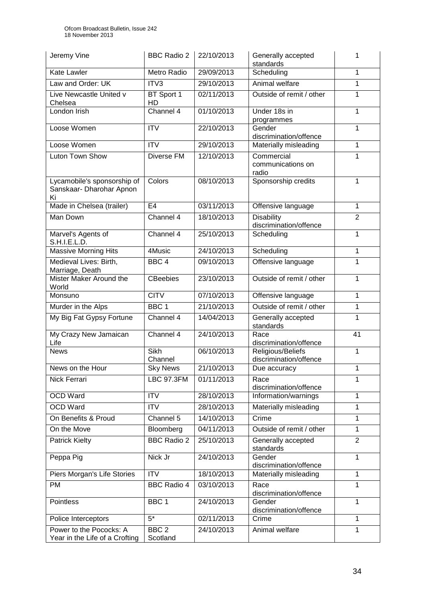| Jeremy Vine                                                   | <b>BBC Radio 2</b>           | 22/10/2013 | Generally accepted<br>standards             | 1              |
|---------------------------------------------------------------|------------------------------|------------|---------------------------------------------|----------------|
| <b>Kate Lawler</b>                                            | Metro Radio                  | 29/09/2013 | Scheduling                                  | 1              |
| Law and Order: UK                                             | ITV3                         | 29/10/2013 | Animal welfare                              | 1              |
| Live Newcastle United v<br>Chelsea                            | BT Sport 1<br>HD             | 02/11/2013 | Outside of remit / other                    | 1              |
| London Irish                                                  | Channel 4                    | 01/10/2013 | Under 18s in<br>programmes                  | 1              |
| Loose Women                                                   | <b>ITV</b>                   | 22/10/2013 | Gender<br>discrimination/offence            | 1              |
| Loose Women                                                   | <b>ITV</b>                   | 29/10/2013 | Materially misleading                       | 1              |
| Luton Town Show                                               | Diverse FM                   | 12/10/2013 | Commercial<br>communications on<br>radio    | 1              |
| Lycamobile's sponsorship of<br>Sanskaar- Dharohar Apnon<br>Ki | Colors                       | 08/10/2013 | Sponsorship credits                         | 1              |
| Made in Chelsea (trailer)                                     | E <sub>4</sub>               | 03/11/2013 | Offensive language                          | 1              |
| Man Down                                                      | Channel 4                    | 18/10/2013 | <b>Disability</b><br>discrimination/offence | $\overline{2}$ |
| Marvel's Agents of<br>S.H.I.E.L.D.                            | Channel 4                    | 25/10/2013 | Scheduling                                  | 1              |
| <b>Massive Morning Hits</b>                                   | 4Music                       | 24/10/2013 | Scheduling                                  | 1              |
| Medieval Lives: Birth,<br>Marriage, Death                     | BBC <sub>4</sub>             | 09/10/2013 | Offensive language                          | 1              |
| Mister Maker Around the<br>World                              | <b>CBeebies</b>              | 23/10/2013 | Outside of remit / other                    | 1              |
| Monsuno                                                       | <b>CITV</b>                  | 07/10/2013 | Offensive language                          | 1              |
| Murder in the Alps                                            | BBC <sub>1</sub>             | 21/10/2013 | Outside of remit / other                    | 1              |
| My Big Fat Gypsy Fortune                                      | Channel 4                    | 14/04/2013 | Generally accepted<br>standards             | 1              |
| My Crazy New Jamaican<br>Life                                 | Channel 4                    | 24/10/2013 | Race<br>discrimination/offence              | 41             |
| <b>News</b>                                                   | Sikh<br>Channel              | 06/10/2013 | Religious/Beliefs<br>discrimination/offence | 1              |
| News on the Hour                                              | <b>Sky News</b>              | 21/10/2013 | Due accuracy                                | 1              |
| Nick Ferrari                                                  | <b>LBC 97.3FM</b>            | 01/11/2013 | Race<br>discrimination/offence              | 1              |
| <b>OCD Ward</b>                                               | <b>ITV</b>                   | 28/10/2013 | Information/warnings                        | 1              |
| <b>OCD Ward</b>                                               | <b>ITV</b>                   | 28/10/2013 | Materially misleading                       | 1              |
| On Benefits & Proud                                           | Channel 5                    | 14/10/2013 | Crime                                       | 1              |
| On the Move                                                   | Bloomberg                    | 04/11/2013 | Outside of remit / other                    | 1              |
| Patrick Kielty                                                | <b>BBC Radio 2</b>           | 25/10/2013 | Generally accepted<br>standards             | $\overline{2}$ |
| Peppa Pig                                                     | Nick Jr                      | 24/10/2013 | Gender<br>discrimination/offence            | 1              |
| Piers Morgan's Life Stories                                   | <b>ITV</b>                   | 18/10/2013 | Materially misleading                       | 1              |
| PM                                                            | <b>BBC Radio 4</b>           | 03/10/2013 | Race<br>discrimination/offence              | 1              |
| Pointless                                                     | BBC <sub>1</sub>             | 24/10/2013 | Gender<br>discrimination/offence            | 1              |
| Police Interceptors                                           | $\overline{5^*}$             | 02/11/2013 | Crime                                       | 1              |
| Power to the Pococks: A<br>Year in the Life of a Crofting     | BBC <sub>2</sub><br>Scotland | 24/10/2013 | Animal welfare                              | 1              |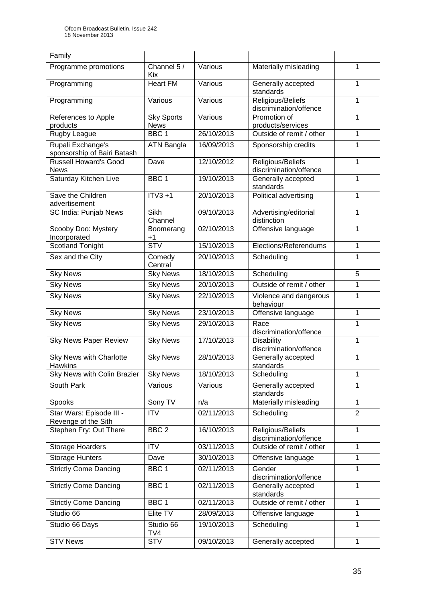| Family                                           |                                  |            |                                             |                |
|--------------------------------------------------|----------------------------------|------------|---------------------------------------------|----------------|
| Programme promotions                             | Channel $5/$<br>Kix.             | Various    | Materially misleading                       | 1              |
| Programming                                      | <b>Heart FM</b>                  | Various    | Generally accepted<br>standards             | 1              |
| Programming                                      | Various                          | Various    | Religious/Beliefs<br>discrimination/offence | 1              |
| References to Apple<br>products                  | <b>Sky Sports</b><br><b>News</b> | Various    | Promotion of<br>products/services           | 1              |
| Rugby League                                     | BBC <sub>1</sub>                 | 26/10/2013 | Outside of remit / other                    | 1              |
| Rupali Exchange's<br>sponsorship of Bairi Batash | <b>ATN Bangla</b>                | 16/09/2013 | Sponsorship credits                         | 1              |
| <b>Russell Howard's Good</b><br><b>News</b>      | Dave                             | 12/10/2012 | Religious/Beliefs<br>discrimination/offence | 1              |
| Saturday Kitchen Live                            | BBC <sub>1</sub>                 | 19/10/2013 | Generally accepted<br>standards             | 1              |
| Save the Children<br>advertisement               | $ITV3 + 1$                       | 20/10/2013 | Political advertising                       | 1              |
| SC India: Punjab News                            | Sikh<br>Channel                  | 09/10/2013 | Advertising/editorial<br>distinction        | 1              |
| Scooby Doo: Mystery<br>Incorporated              | Boomerang<br>$+1$                | 02/10/2013 | Offensive language                          | 1              |
| Scotland Tonight                                 | $\overline{\text{STV}}$          | 15/10/2013 | Elections/Referendums                       | 1              |
| Sex and the City                                 | Comedy<br>Central                | 20/10/2013 | Scheduling                                  | 1              |
| <b>Sky News</b>                                  | <b>Sky News</b>                  | 18/10/2013 | Scheduling                                  | 5              |
| <b>Sky News</b>                                  | <b>Sky News</b>                  | 20/10/2013 | Outside of remit / other                    | 1              |
| <b>Sky News</b>                                  | <b>Sky News</b>                  | 22/10/2013 | Violence and dangerous<br>behaviour         | 1              |
| <b>Sky News</b>                                  | <b>Sky News</b>                  | 23/10/2013 | Offensive language                          | 1              |
| <b>Sky News</b>                                  | <b>Sky News</b>                  | 29/10/2013 | Race<br>discrimination/offence              | 1              |
| <b>Sky News Paper Review</b>                     | <b>Sky News</b>                  | 17/10/2013 | <b>Disability</b><br>discrimination/offence | 1              |
| Sky News with Charlotte<br><b>Hawkins</b>        | <b>Sky News</b>                  | 28/10/2013 | Generally accepted<br>standards             | $\mathbf{1}$   |
| Sky News with Colin Brazier                      | <b>Sky News</b>                  | 18/10/2013 | Scheduling                                  | 1              |
| South Park                                       | Various                          | Various    | Generally accepted<br>standards             | 1              |
| Spooks                                           | Sony TV                          | n/a        | Materially misleading                       | $\mathbf{1}$   |
| Star Wars: Episode III -<br>Revenge of the Sith  | <b>ITV</b>                       | 02/11/2013 | Scheduling                                  | $\overline{2}$ |
| Stephen Fry: Out There                           | BBC <sub>2</sub>                 | 16/10/2013 | Religious/Beliefs<br>discrimination/offence | 1              |
| Storage Hoarders                                 | <b>ITV</b>                       | 03/11/2013 | Outside of remit / other                    | 1              |
| <b>Storage Hunters</b>                           | Dave                             | 30/10/2013 | Offensive language                          | 1              |
| <b>Strictly Come Dancing</b>                     | BBC <sub>1</sub>                 | 02/11/2013 | Gender<br>discrimination/offence            | $\mathbf{1}$   |
| <b>Strictly Come Dancing</b>                     | BBC <sub>1</sub>                 | 02/11/2013 | Generally accepted<br>standards             | $\mathbf{1}$   |
| <b>Strictly Come Dancing</b>                     | BBC <sub>1</sub>                 | 02/11/2013 | Outside of remit / other                    | $\mathbf{1}$   |
| Studio 66                                        | Elite TV                         | 28/09/2013 | Offensive language                          | $\mathbf{1}$   |
| Studio 66 Days                                   | Studio 66<br>TV4                 | 19/10/2013 | Scheduling                                  | 1              |
| <b>STV News</b>                                  | <b>STV</b>                       | 09/10/2013 | Generally accepted                          | $\mathbf{1}$   |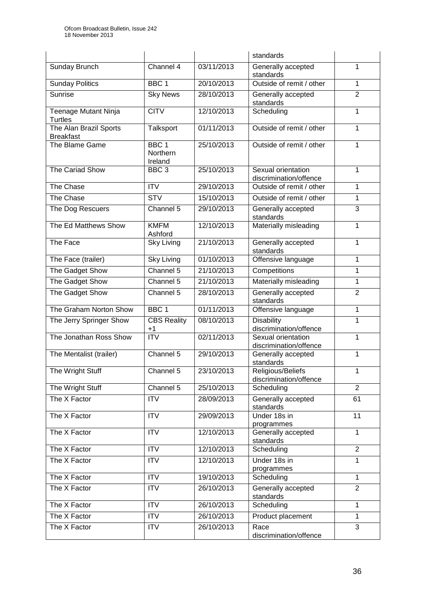|                                            |                                         |            | standards                                    |                |
|--------------------------------------------|-----------------------------------------|------------|----------------------------------------------|----------------|
| Sunday Brunch                              | Channel 4                               | 03/11/2013 | Generally accepted<br>standards              | 1              |
| <b>Sunday Politics</b>                     | BBC <sub>1</sub>                        | 20/10/2013 | Outside of remit / other                     | 1              |
| <b>Sunrise</b>                             | <b>Sky News</b>                         | 28/10/2013 | Generally accepted<br>standards              | $\overline{2}$ |
| Teenage Mutant Ninja<br>Turtles            | <b>CITV</b>                             | 12/10/2013 | Scheduling                                   | $\mathbf{1}$   |
| The Alan Brazil Sports<br><b>Breakfast</b> | Talksport                               | 01/11/2013 | Outside of remit / other                     | 1              |
| The Blame Game                             | BBC <sub>1</sub><br>Northern<br>Ireland | 25/10/2013 | Outside of remit / other                     | 1              |
| The Cariad Show                            | BBC <sub>3</sub>                        | 25/10/2013 | Sexual orientation<br>discrimination/offence | 1              |
| The Chase                                  | $\overline{IV}$                         | 29/10/2013 | Outside of remit / other                     | 1              |
| The Chase                                  | <b>STV</b>                              | 15/10/2013 | Outside of remit / other                     | 1              |
| The Dog Rescuers                           | Channel 5                               | 29/10/2013 | Generally accepted<br>standards              | 3              |
| The Ed Matthews Show                       | <b>KMFM</b><br>Ashford                  | 12/10/2013 | Materially misleading                        | 1              |
| The Face                                   | <b>Sky Living</b>                       | 21/10/2013 | Generally accepted<br>standards              | 1              |
| The Face (trailer)                         | Sky Living                              | 01/10/2013 | Offensive language                           | 1              |
| The Gadget Show                            | Channel 5                               | 21/10/2013 | Competitions                                 | $\mathbf{1}$   |
| The Gadget Show                            | Channel 5                               | 21/10/2013 | Materially misleading                        | 1              |
| The Gadget Show                            | Channel 5                               | 28/10/2013 | Generally accepted<br>standards              | $\overline{2}$ |
| The Graham Norton Show                     | BBC <sub>1</sub>                        | 01/11/2013 | Offensive language                           | $\mathbf{1}$   |
| The Jerry Springer Show                    | <b>CBS Reality</b><br>$+1$              | 08/10/2013 | <b>Disability</b><br>discrimination/offence  | 1              |
| The Jonathan Ross Show                     | $\overline{\text{IV}}$                  | 02/11/2013 | Sexual orientation<br>discrimination/offence | 1              |
| The Mentalist (trailer)                    | Channel 5                               | 29/10/2013 | Generally accepted<br>standards              | 1              |
| The Wright Stuff                           | Channel $5$                             | 23/10/2013 | Religious/Beliefs<br>discrimination/offence  | 1              |
| The Wright Stuff                           | Channel 5                               | 25/10/2013 | Scheduling                                   | $\overline{2}$ |
| The X Factor                               | <b>ITV</b>                              | 28/09/2013 | Generally accepted<br>standards              | 61             |
| The X Factor                               | <b>ITV</b>                              | 29/09/2013 | Under 18s in<br>programmes                   | 11             |
| The X Factor                               | <b>ITV</b>                              | 12/10/2013 | Generally accepted<br>standards              | $\mathbf{1}$   |
| The X Factor                               | $\overline{IV}$                         | 12/10/2013 | Scheduling                                   | $\overline{2}$ |
| The X Factor                               | <b>ITV</b>                              | 12/10/2013 | Under 18s in<br>programmes                   | $\mathbf{1}$   |
| The X Factor                               | <b>ITV</b>                              | 19/10/2013 | Scheduling                                   | $\mathbf{1}$   |
| The X Factor                               | <b>ITV</b>                              | 26/10/2013 | Generally accepted<br>standards              | $\overline{2}$ |
| The X Factor                               | <b>ITV</b>                              | 26/10/2013 | Scheduling                                   | 1              |
| The X Factor                               | ITV                                     | 26/10/2013 | Product placement                            | $\mathbf{1}$   |
| The X Factor                               | <b>ITV</b>                              | 26/10/2013 | Race<br>discrimination/offence               | $\overline{3}$ |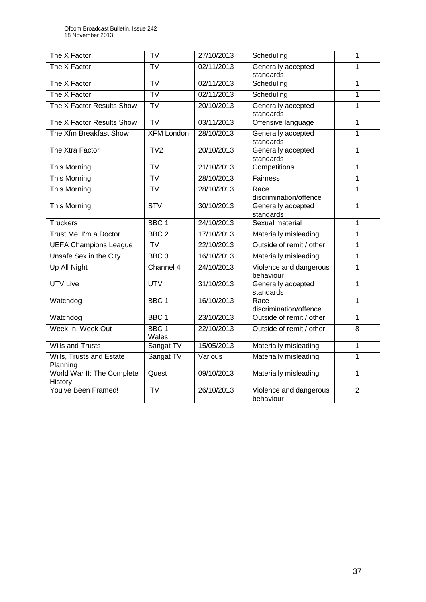| The X Factor                          | <b>ITV</b>                | 27/10/2013 | Scheduling                          | 1              |
|---------------------------------------|---------------------------|------------|-------------------------------------|----------------|
| The X Factor                          | $\overline{IV}$           | 02/11/2013 | Generally accepted<br>standards     | 1              |
| The X Factor                          | $\overline{IV}$           | 02/11/2013 | Scheduling                          | 1              |
| The X Factor                          | ITV                       | 02/11/2013 | Scheduling                          | 1              |
| The X Factor Results Show             | ITV                       | 20/10/2013 | Generally accepted<br>standards     | 1              |
| The X Factor Results Show             | ITV                       | 03/11/2013 | Offensive language                  | $\overline{1}$ |
| The Xfm Breakfast Show                | <b>XFM London</b>         | 28/10/2013 | Generally accepted<br>standards     | 1              |
| The Xtra Factor                       | ITV <sub>2</sub>          | 20/10/2013 | Generally accepted<br>standards     | 1              |
| This Morning                          | ITV                       | 21/10/2013 | Competitions                        | 1              |
| This Morning                          | $\overline{IV}$           | 28/10/2013 | <b>Fairness</b>                     | 1              |
| This Morning                          | <b>ITV</b>                | 28/10/2013 | Race<br>discrimination/offence      | 1              |
| <b>This Morning</b>                   | <b>STV</b>                | 30/10/2013 | Generally accepted<br>standards     | 1              |
| <b>Truckers</b>                       | BBC <sub>1</sub>          | 24/10/2013 | Sexual material                     | 1              |
| Trust Me, I'm a Doctor                | $\overline{BBC}$ 2        | 17/10/2013 | Materially misleading               | 1              |
| <b>UEFA Champions League</b>          | $\overline{IV}$           | 22/10/2013 | Outside of remit / other            | 1              |
| Unsafe Sex in the City                | BBC <sub>3</sub>          | 16/10/2013 | Materially misleading               | 1              |
| Up All Night                          | Channel 4                 | 24/10/2013 | Violence and dangerous<br>behaviour | 1              |
| <b>UTV Live</b>                       | <b>UTV</b>                | 31/10/2013 | Generally accepted<br>standards     | 1              |
| Watchdog                              | BBC <sub>1</sub>          | 16/10/2013 | Race<br>discrimination/offence      | 1              |
| Watchdog                              | BBC <sub>1</sub>          | 23/10/2013 | Outside of remit / other            | 1              |
| Week In, Week Out                     | BBC <sub>1</sub><br>Wales | 22/10/2013 | Outside of remit / other            | $\overline{8}$ |
| <b>Wills and Trusts</b>               | Sangat TV                 | 15/05/2013 | Materially misleading               | 1              |
| Wills, Trusts and Estate<br>Planning  | Sangat TV                 | Various    | Materially misleading               | 1              |
| World War II: The Complete<br>History | Quest                     | 09/10/2013 | Materially misleading               | 1              |
| You've Been Framed!                   | $\overline{IV}$           | 26/10/2013 | Violence and dangerous<br>behaviour | $\overline{2}$ |